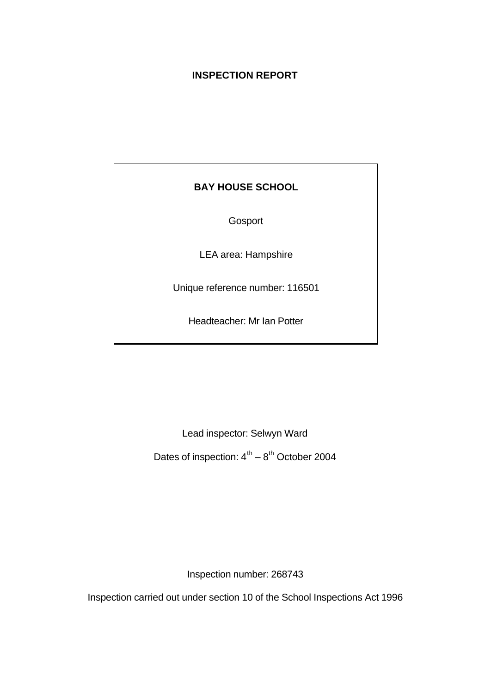# **INSPECTION REPORT**

# **BAY HOUSE SCHOOL**

Gosport

LEA area: Hampshire

Unique reference number: 116501

Headteacher: Mr Ian Potter

Lead inspector: Selwyn Ward

Dates of inspection:  $4^{\text{th}} - 8^{\text{th}}$  October 2004

Inspection number: 268743

Inspection carried out under section 10 of the School Inspections Act 1996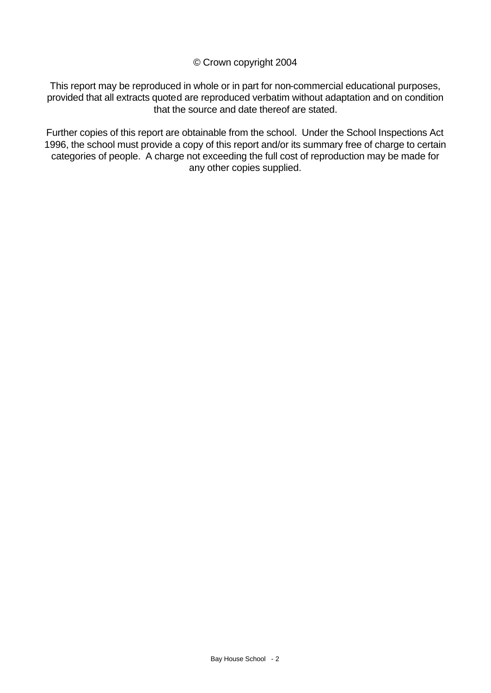## © Crown copyright 2004

This report may be reproduced in whole or in part for non-commercial educational purposes, provided that all extracts quoted are reproduced verbatim without adaptation and on condition that the source and date thereof are stated.

Further copies of this report are obtainable from the school. Under the School Inspections Act 1996, the school must provide a copy of this report and/or its summary free of charge to certain categories of people. A charge not exceeding the full cost of reproduction may be made for any other copies supplied.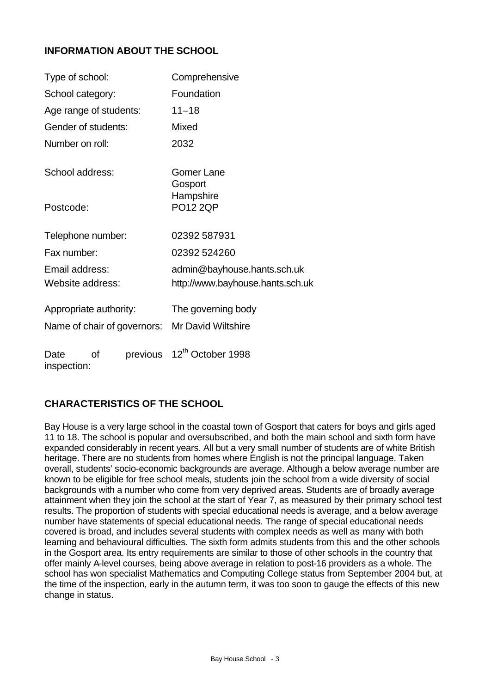## **INFORMATION ABOUT THE SCHOOL**

| Type of school:                       | Comprehensive                    |  |  |  |  |
|---------------------------------------|----------------------------------|--|--|--|--|
| School category:                      | Foundation                       |  |  |  |  |
| Age range of students:                | $11 - 18$                        |  |  |  |  |
| Gender of students:                   | Mixed                            |  |  |  |  |
| Number on roll:                       | 2032                             |  |  |  |  |
| School address:                       | Gomer Lane<br>Gosport            |  |  |  |  |
| Postcode:                             | Hampshire<br><b>PO12 2QP</b>     |  |  |  |  |
| Telephone number:                     | 02392 587931                     |  |  |  |  |
| Fax number:                           | 02392 524260                     |  |  |  |  |
| Email address:                        | admin@bayhouse.hants.sch.uk      |  |  |  |  |
| Website address:                      | http://www.bayhouse.hants.sch.uk |  |  |  |  |
| Appropriate authority:                | The governing body               |  |  |  |  |
| Name of chair of governors:           | <b>Mr David Wiltshire</b>        |  |  |  |  |
| previous<br>οf<br>Date<br>inspection: | 12 <sup>th</sup> October 1998    |  |  |  |  |

# **CHARACTERISTICS OF THE SCHOOL**

Bay House is a very large school in the coastal town of Gosport that caters for boys and girls aged 11 to 18. The school is popular and oversubscribed, and both the main school and sixth form have expanded considerably in recent years. All but a very small number of students are of white British heritage. There are no students from homes where English is not the principal language. Taken overall, students' socio-economic backgrounds are average. Although a below average number are known to be eligible for free school meals, students join the school from a wide diversity of social backgrounds with a number who come from very deprived areas. Students are of broadly average attainment when they join the school at the start of Year 7, as measured by their primary school test results. The proportion of students with special educational needs is average, and a below average number have statements of special educational needs. The range of special educational needs covered is broad, and includes several students with complex needs as well as many with both learning and behavioural difficulties. The sixth form admits students from this and the other schools in the Gosport area. Its entry requirements are similar to those of other schools in the country that offer mainly A-level courses, being above average in relation to post-16 providers as a whole. The school has won specialist Mathematics and Computing College status from September 2004 but, at the time of the inspection, early in the autumn term, it was too soon to gauge the effects of this new change in status.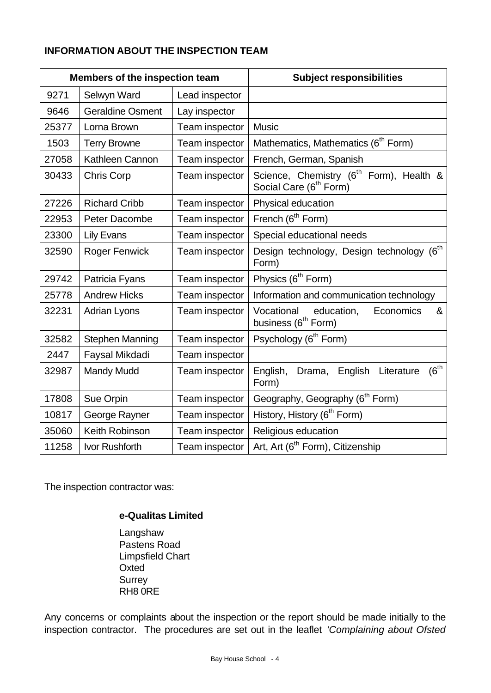# **INFORMATION ABOUT THE INSPECTION TEAM**

| <b>Members of the inspection team</b> |                         |                | <b>Subject responsibilities</b>                                                           |  |  |
|---------------------------------------|-------------------------|----------------|-------------------------------------------------------------------------------------------|--|--|
| 9271                                  | Selwyn Ward             | Lead inspector |                                                                                           |  |  |
| 9646                                  | <b>Geraldine Osment</b> | Lay inspector  |                                                                                           |  |  |
| 25377                                 | Lorna Brown             | Team inspector | <b>Music</b>                                                                              |  |  |
| 1503                                  | <b>Terry Browne</b>     | Team inspector | Mathematics, Mathematics (6 <sup>th</sup> Form)                                           |  |  |
| 27058                                 | Kathleen Cannon         | Team inspector | French, German, Spanish                                                                   |  |  |
| 30433                                 | <b>Chris Corp</b>       | Team inspector | Science, Chemistry (6 <sup>th</sup> Form), Health &<br>Social Care (6 <sup>th</sup> Form) |  |  |
| 27226                                 | <b>Richard Cribb</b>    | Team inspector | Physical education                                                                        |  |  |
| 22953                                 | Peter Dacombe           | Team inspector | French (6 <sup>th</sup> Form)                                                             |  |  |
| 23300                                 | <b>Lily Evans</b>       | Team inspector | Special educational needs                                                                 |  |  |
| 32590                                 | <b>Roger Fenwick</b>    | Team inspector | Design technology, Design technology (6 <sup>th</sup><br>Form)                            |  |  |
| 29742                                 | Patricia Fyans          | Team inspector | Physics (6 <sup>th</sup> Form)                                                            |  |  |
| 25778                                 | <b>Andrew Hicks</b>     | Team inspector | Information and communication technology                                                  |  |  |
| 32231                                 | <b>Adrian Lyons</b>     | Team inspector | Vocational<br>education,<br>&<br>Economics<br>business (6 <sup>th</sup> Form)             |  |  |
| 32582                                 | <b>Stephen Manning</b>  | Team inspector | Psychology (6 <sup>th</sup> Form)                                                         |  |  |
| 2447                                  | Faysal Mikdadi          | Team inspector |                                                                                           |  |  |
| 32987                                 | <b>Mandy Mudd</b>       | Team inspector | $(6^{th}$<br>English<br>Literature<br>English,<br>Drama,<br>Form)                         |  |  |
| 17808                                 | Sue Orpin               | Team inspector | Geography, Geography (6 <sup>th</sup> Form)                                               |  |  |
| 10817                                 | George Rayner           | Team inspector | History, History (6 <sup>th</sup> Form)                                                   |  |  |
| 35060                                 | Keith Robinson          | Team inspector | Religious education                                                                       |  |  |
| 11258                                 | Ivor Rushforth          | Team inspector | Art, Art (6 <sup>th</sup> Form), Citizenship                                              |  |  |

The inspection contractor was:

## **e-Qualitas Limited**

Langshaw Pastens Road Limpsfield Chart **Oxted Surrey** RH8 0RE

Any concerns or complaints about the inspection or the report should be made initially to the inspection contractor. The procedures are set out in the leaflet *'Complaining about Ofsted*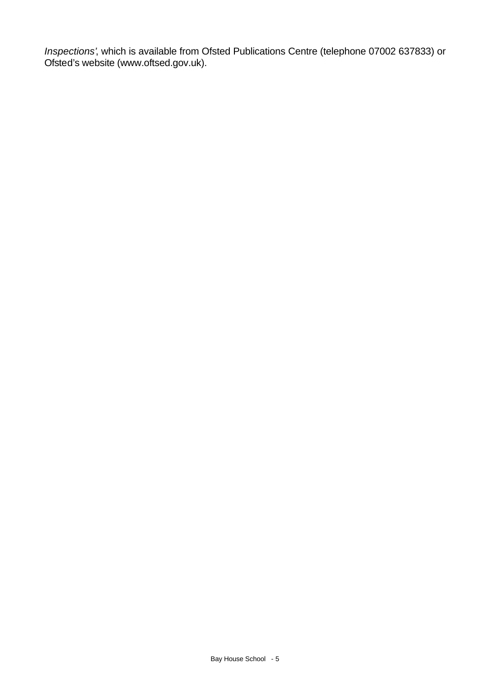*Inspections'*, which is available from Ofsted Publications Centre (telephone 07002 637833) or Ofsted's website (www.oftsed.gov.uk).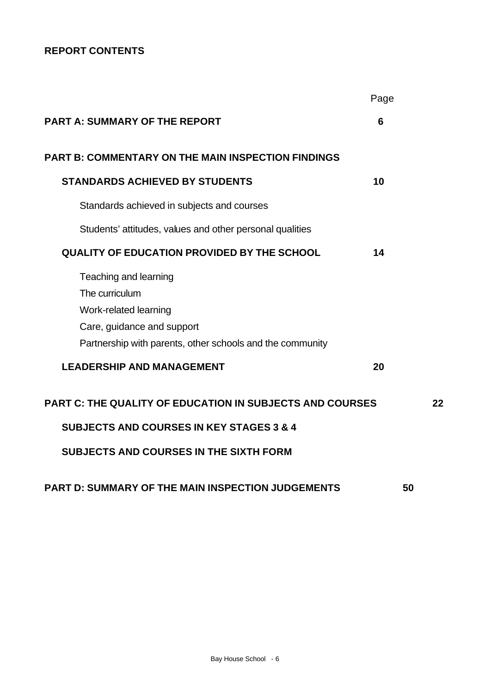# **REPORT CONTENTS**

|                                                                                                                                                                         | Page |    |
|-------------------------------------------------------------------------------------------------------------------------------------------------------------------------|------|----|
| <b>PART A: SUMMARY OF THE REPORT</b>                                                                                                                                    | 6    |    |
| <b>PART B: COMMENTARY ON THE MAIN INSPECTION FINDINGS</b>                                                                                                               |      |    |
| <b>STANDARDS ACHIEVED BY STUDENTS</b>                                                                                                                                   | 10   |    |
| Standards achieved in subjects and courses                                                                                                                              |      |    |
| Students' attitudes, values and other personal qualities                                                                                                                |      |    |
| <b>QUALITY OF EDUCATION PROVIDED BY THE SCHOOL</b>                                                                                                                      | 14   |    |
| Teaching and learning<br>The curriculum<br>Work-related learning<br>Care, guidance and support<br>Partnership with parents, other schools and the community             |      |    |
| <b>LEADERSHIP AND MANAGEMENT</b>                                                                                                                                        | 20   |    |
| <b>PART C: THE QUALITY OF EDUCATION IN SUBJECTS AND COURSES</b><br><b>SUBJECTS AND COURSES IN KEY STAGES 3 &amp; 4</b><br><b>SUBJECTS AND COURSES IN THE SIXTH FORM</b> |      | 22 |
| <b>PART D: SUMMARY OF THE MAIN INSPECTION JUDGEMENTS</b>                                                                                                                |      | 50 |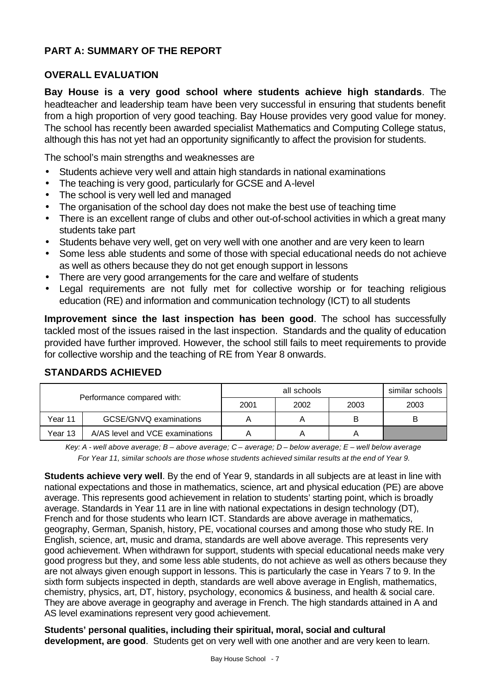# **PART A: SUMMARY OF THE REPORT**

# **OVERALL EVALUATION**

**Bay House is a very good school where students achieve high standards**. The headteacher and leadership team have been very successful in ensuring that students benefit from a high proportion of very good teaching. Bay House provides very good value for money. The school has recently been awarded specialist Mathematics and Computing College status, although this has not yet had an opportunity significantly to affect the provision for students.

The school's main strengths and weaknesses are

- Students achieve very well and attain high standards in national examinations
- The teaching is very good, particularly for GCSE and A-level
- The school is very well led and managed
- The organisation of the school day does not make the best use of teaching time
- There is an excellent range of clubs and other out-of-school activities in which a great many students take part
- Students behave very well, get on very well with one another and are very keen to learn
- Some less able students and some of those with special educational needs do not achieve as well as others because they do not get enough support in lessons
- There are very good arrangements for the care and welfare of students
- Legal requirements are not fully met for collective worship or for teaching religious education (RE) and information and communication technology (ICT) to all students

**Improvement since the last inspection has been good**. The school has successfully tackled most of the issues raised in the last inspection. Standards and the quality of education provided have further improved. However, the school still fails to meet requirements to provide for collective worship and the teaching of RE from Year 8 onwards.

|         |                                 |                      | similar schools |   |      |
|---------|---------------------------------|----------------------|-----------------|---|------|
|         | Performance compared with:      | 2001<br>2002<br>2003 |                 |   | 2003 |
| Year 11 | GCSE/GNVQ examinations          |                      |                 | B |      |
| Year 13 | A/AS level and VCE examinations |                      |                 |   |      |

## **STANDARDS ACHIEVED**

*Key: A - well above average; B – above average; C – average; D – below average; E – well below average For Year 11, similar schools are those whose students achieved similar results at the end of Year 9.*

**Students achieve very well**. By the end of Year 9, standards in all subjects are at least in line with national expectations and those in mathematics, science, art and physical education (PE) are above average. This represents good achievement in relation to students' starting point, which is broadly average. Standards in Year 11 are in line with national expectations in design technology (DT), French and for those students who learn ICT. Standards are above average in mathematics, geography, German, Spanish, history, PE, vocational courses and among those who study RE. In English, science, art, music and drama, standards are well above average. This represents very good achievement. When withdrawn for support, students with special educational needs make very good progress but they, and some less able students, do not achieve as well as others because they are not always given enough support in lessons. This is particularly the case in Years 7 to 9. In the sixth form subjects inspected in depth, standards are well above average in English, mathematics, chemistry, physics, art, DT, history, psychology, economics & business, and health & social care. They are above average in geography and average in French. The high standards attained in A and AS level examinations represent very good achievement.

**Students' personal qualities, including their spiritual, moral, social and cultural development, are good**. Students get on very well with one another and are very keen to learn.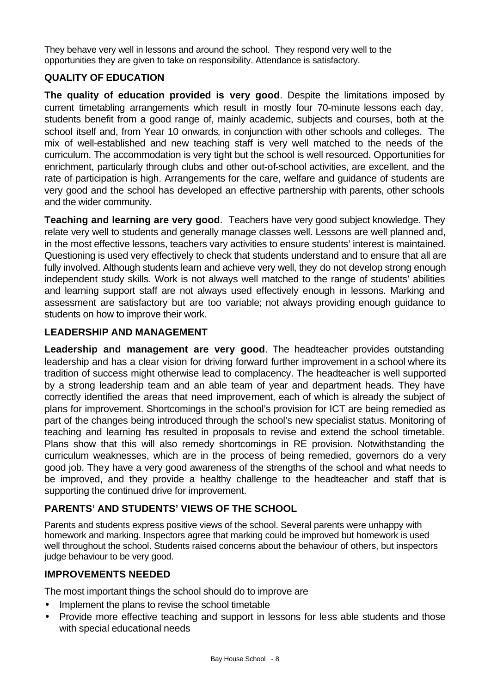They behave very well in lessons and around the school. They respond very well to the opportunities they are given to take on responsibility. Attendance is satisfactory.

# **QUALITY OF EDUCATION**

**The quality of education provided is very good**. Despite the limitations imposed by current timetabling arrangements which result in mostly four 70-minute lessons each day, students benefit from a good range of, mainly academic, subjects and courses, both at the school itself and, from Year 10 onwards*,* in conjunction with other schools and colleges. The mix of well-established and new teaching staff is very well matched to the needs of the curriculum. The accommodation is very tight but the school is well resourced. Opportunities for enrichment, particularly through clubs and other out-of-school activities, are excellent, and the rate of participation is high. Arrangements for the care, welfare and guidance of students are very good and the school has developed an effective partnership with parents, other schools and the wider community.

**Teaching and learning are very good.** Teachers have very good subject knowledge. They relate very well to students and generally manage classes well. Lessons are well planned and, in the most effective lessons, teachers vary activities to ensure students' interest is maintained. Questioning is used very effectively to check that students understand and to ensure that all are fully involved. Although students learn and achieve very well, they do not develop strong enough independent study skills. Work is not always well matched to the range of students' abilities and learning support staff are not always used effectively enough in lessons. Marking and assessment are satisfactory but are too variable; not always providing enough guidance to students on how to improve their work.

## **LEADERSHIP AND MANAGEMENT**

**Leadership and management are very good**. The headteacher provides outstanding leadership and has a clear vision for driving forward further improvement in a school where its tradition of success might otherwise lead to complacency. The headteacher is well supported by a strong leadership team and an able team of year and department heads. They have correctly identified the areas that need improvement, each of which is already the subject of plans for improvement. Shortcomings in the school's provision for ICT are being remedied as part of the changes being introduced through the school's new specialist status. Monitoring of teaching and learning has resulted in proposals to revise and extend the school timetable. Plans show that this will also remedy shortcomings in RE provision. Notwithstanding the curriculum weaknesses, which are in the process of being remedied, governors do a very good job. They have a very good awareness of the strengths of the school and what needs to be improved, and they provide a healthy challenge to the headteacher and staff that is supporting the continued drive for improvement.

# **PARENTS' AND STUDENTS' VIEWS OF THE SCHOOL**

Parents and students express positive views of the school. Several parents were unhappy with homework and marking. Inspectors agree that marking could be improved but homework is used well throughout the school. Students raised concerns about the behaviour of others, but inspectors judge behaviour to be very good.

## **IMPROVEMENTS NEEDED**

The most important things the school should do to improve are

- Implement the plans to revise the school timetable
- Provide more effective teaching and support in lessons for less able students and those with special educational needs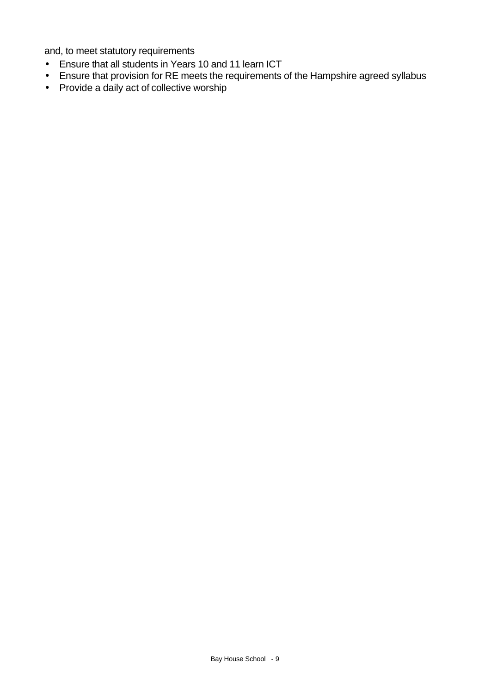and, to meet statutory requirements

- Ensure that all students in Years 10 and 11 learn ICT
- Ensure that provision for RE meets the requirements of the Hampshire agreed syllabus
- Provide a daily act of collective worship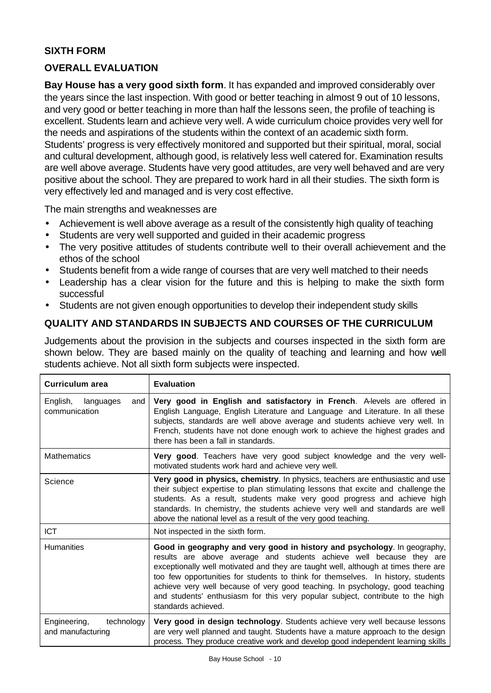# **SIXTH FORM**

## **OVERALL EVALUATION**

**Bay House has a very good sixth form**. It has expanded and improved considerably over the years since the last inspection. With good or better teaching in almost 9 out of 10 lessons, and very good or better teaching in more than half the lessons seen, the profile of teaching is excellent. Students learn and achieve very well. A wide curriculum choice provides very well for the needs and aspirations of the students within the context of an academic sixth form. Students' progress is very effectively monitored and supported but their spiritual, moral, social and cultural development, although good, is relatively less well catered for. Examination results are well above average. Students have very good attitudes, are very well behaved and are very positive about the school. They are prepared to work hard in all their studies. The sixth form is very effectively led and managed and is very cost effective.

The main strengths and weaknesses are

- Achievement is well above average as a result of the consistently high quality of teaching
- Students are very well supported and guided in their academic progress
- The very positive attitudes of students contribute well to their overall achievement and the ethos of the school
- Students benefit from a wide range of courses that are very well matched to their needs
- Leadership has a clear vision for the future and this is helping to make the sixth form successful
- Students are not given enough opportunities to develop their independent study skills

# **QUALITY AND STANDARDS IN SUBJECTS AND COURSES OF THE CURRICULUM**

Judgements about the provision in the subjects and courses inspected in the sixth form are shown below. They are based mainly on the quality of teaching and learning and how well students achieve. Not all sixth form subjects were inspected.

| <b>Curriculum area</b>                          | <b>Evaluation</b>                                                                                                                                                                                                                                                                                                                                                                                                                                                                                                    |
|-------------------------------------------------|----------------------------------------------------------------------------------------------------------------------------------------------------------------------------------------------------------------------------------------------------------------------------------------------------------------------------------------------------------------------------------------------------------------------------------------------------------------------------------------------------------------------|
| languages<br>English,<br>and<br>communication   | Very good in English and satisfactory in French. Alevels are offered in<br>English Language, English Literature and Language and Literature. In all these<br>subjects, standards are well above average and students achieve very well. In<br>French, students have not done enough work to achieve the highest grades and<br>there has been a fall in standards.                                                                                                                                                    |
| <b>Mathematics</b>                              | Very good. Teachers have very good subject knowledge and the very well-<br>motivated students work hard and achieve very well.                                                                                                                                                                                                                                                                                                                                                                                       |
| Science                                         | Very good in physics, chemistry. In physics, teachers are enthusiastic and use<br>their subject expertise to plan stimulating lessons that excite and challenge the<br>students. As a result, students make very good progress and achieve high<br>standards. In chemistry, the students achieve very well and standards are well<br>above the national level as a result of the very good teaching.                                                                                                                 |
| ICT.                                            | Not inspected in the sixth form.                                                                                                                                                                                                                                                                                                                                                                                                                                                                                     |
| <b>Humanities</b>                               | Good in geography and very good in history and psychology. In geography,<br>results are above average and students achieve well because they are<br>exceptionally well motivated and they are taught well, although at times there are<br>too few opportunities for students to think for themselves. In history, students<br>achieve very well because of very good teaching. In psychology, good teaching<br>and students' enthusiasm for this very popular subject, contribute to the high<br>standards achieved. |
| Engineering,<br>technology<br>and manufacturing | Very good in design technology. Students achieve very well because lessons<br>are very well planned and taught. Students have a mature approach to the design<br>process. They produce creative work and develop good independent learning skills                                                                                                                                                                                                                                                                    |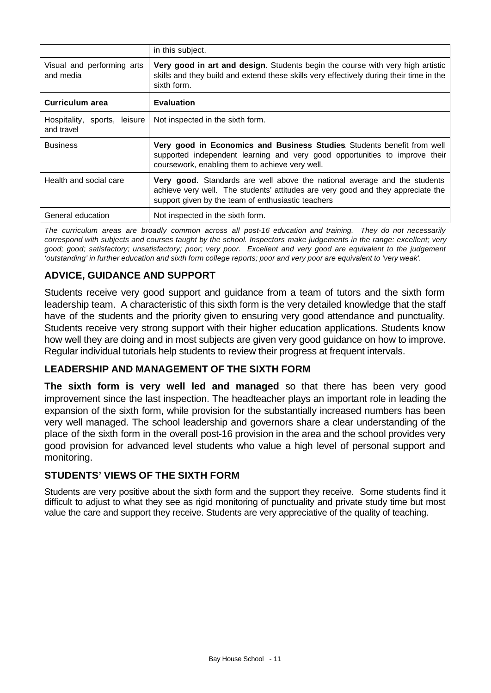|                                            | in this subject.                                                                                                                                                                                                           |
|--------------------------------------------|----------------------------------------------------------------------------------------------------------------------------------------------------------------------------------------------------------------------------|
| Visual and performing arts<br>and media    | Very good in art and design. Students begin the course with very high artistic<br>skills and they build and extend these skills very effectively during their time in the<br>sixth form.                                   |
| Curriculum area                            | <b>Evaluation</b>                                                                                                                                                                                                          |
| Hospitality, sports, leisure<br>and travel | Not inspected in the sixth form.                                                                                                                                                                                           |
| <b>Business</b>                            | Very good in Economics and Business Studies. Students benefit from well<br>supported independent learning and very good opportunities to improve their<br>coursework, enabling them to achieve very well.                  |
| Health and social care                     | <b>Very good.</b> Standards are well above the national average and the students<br>achieve very well. The students' attitudes are very good and they appreciate the<br>support given by the team of enthusiastic teachers |
| General education                          | Not inspected in the sixth form.                                                                                                                                                                                           |

*The curriculum areas are broadly common across all post-16 education and training. They do not necessarily correspond with subjects and courses taught by the school. Inspectors make judgements in the range: excellent; very good; good; satisfactory; unsatisfactory; poor; very poor. Excellent and very good are equivalent to the judgement 'outstanding' in further education and sixth form college reports; poor and very poor are equivalent to 'very weak'.*

# **ADVICE, GUIDANCE AND SUPPORT**

Students receive very good support and guidance from a team of tutors and the sixth form leadership team. A characteristic of this sixth form is the very detailed knowledge that the staff have of the students and the priority given to ensuring very good attendance and punctuality. Students receive very strong support with their higher education applications. Students know how well they are doing and in most subjects are given very good guidance on how to improve. Regular individual tutorials help students to review their progress at frequent intervals.

# **LEADERSHIP AND MANAGEMENT OF THE SIXTH FORM**

**The sixth form is very well led and managed** so that there has been very good improvement since the last inspection. The headteacher plays an important role in leading the expansion of the sixth form, while provision for the substantially increased numbers has been very well managed. The school leadership and governors share a clear understanding of the place of the sixth form in the overall post-16 provision in the area and the school provides very good provision for advanced level students who value a high level of personal support and monitoring.

# **STUDENTS' VIEWS OF THE SIXTH FORM**

Students are very positive about the sixth form and the support they receive. Some students find it difficult to adjust to what they see as rigid monitoring of punctuality and private study time but most value the care and support they receive. Students are very appreciative of the quality of teaching.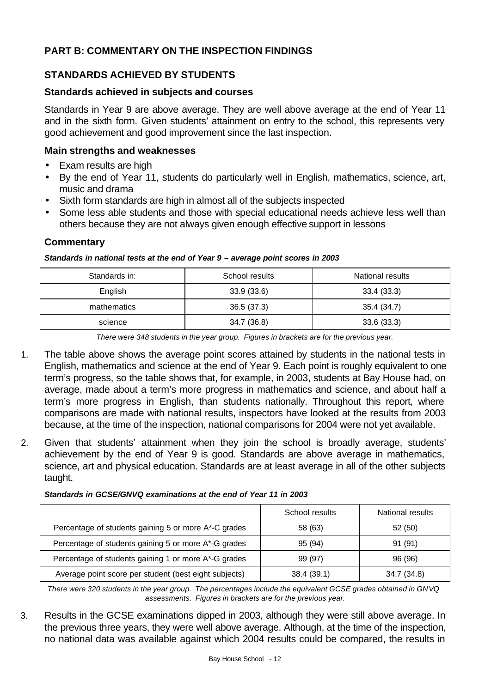# **PART B: COMMENTARY ON THE INSPECTION FINDINGS**

# **STANDARDS ACHIEVED BY STUDENTS**

#### **Standards achieved in subjects and courses**

Standards in Year 9 are above average. They are well above average at the end of Year 11 and in the sixth form. Given students' attainment on entry to the school, this represents very good achievement and good improvement since the last inspection.

#### **Main strengths and weaknesses**

- Exam results are high
- By the end of Year 11, students do particularly well in English, mathematics, science, art, music and drama
- Sixth form standards are high in almost all of the subjects inspected
- Some less able students and those with special educational needs achieve less well than others because they are not always given enough effective support in lessons

#### **Commentary**

#### *Standards in national tests at the end of Year 9 – average point scores in 2003*

| Standards in: | School results | National results |
|---------------|----------------|------------------|
| English       | 33.9(33.6)     | 33.4(33.3)       |
| mathematics   | 36.5(37.3)     | 35.4 (34.7)      |
| science       | 34.7 (36.8)    | 33.6 (33.3)      |

*There were 348 students in the year group. Figures in brackets are for the previous year.*

- 1. The table above shows the average point scores attained by students in the national tests in English, mathematics and science at the end of Year 9. Each point is roughly equivalent to one term's progress, so the table shows that, for example, in 2003, students at Bay House had, on average, made about a term's more progress in mathematics and science, and about half a term's more progress in English, than students nationally. Throughout this report, where comparisons are made with national results, inspectors have looked at the results from 2003 because, at the time of the inspection, national comparisons for 2004 were not yet available.
- 2. Given that students' attainment when they join the school is broadly average, students' achievement by the end of Year 9 is good. Standards are above average in mathematics, science, art and physical education. Standards are at least average in all of the other subjects taught.

|                                                       | School results | National results |
|-------------------------------------------------------|----------------|------------------|
| Percentage of students gaining 5 or more A*-C grades  | 58 (63)        | 52(50)           |
| Percentage of students gaining 5 or more A*-G grades  | 95 (94)        | 91(91)           |
| Percentage of students gaining 1 or more A*-G grades  | 99 (97)        | 96 (96)          |
| Average point score per student (best eight subjects) | 38.4 (39.1)    | 34.7 (34.8)      |

#### *Standards in GCSE/GNVQ examinations at the end of Year 11 in 2003*

 *There were 320 students in the year group. The percentages include the equivalent GCSE grades obtained in GNVQ assessments. Figures in brackets are for the previous year.* 

3. Results in the GCSE examinations dipped in 2003, although they were still above average. In the previous three years, they were well above average. Although, at the time of the inspection, no national data was available against which 2004 results could be compared, the results in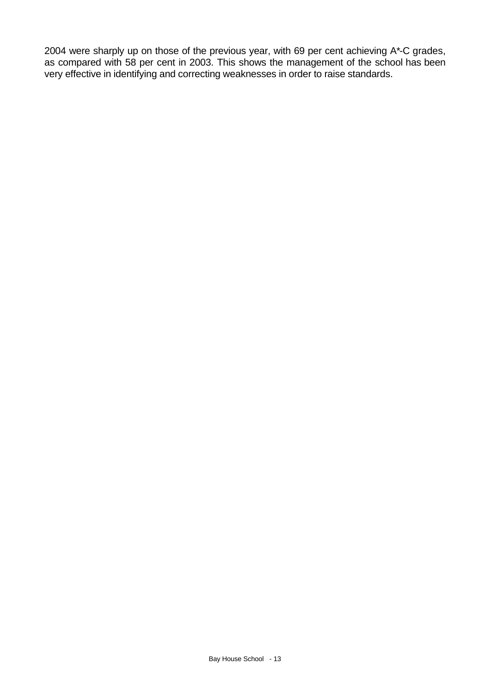2004 were sharply up on those of the previous year, with 69 per cent achieving A\*-C grades, as compared with 58 per cent in 2003. This shows the management of the school has been very effective in identifying and correcting weaknesses in order to raise standards.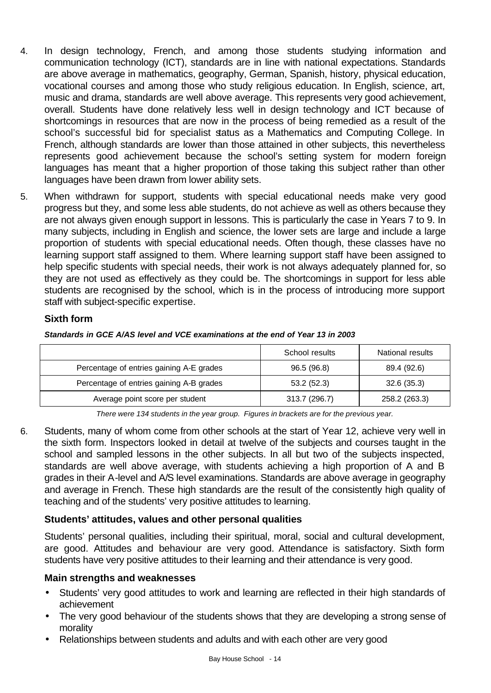- 4. In design technology, French, and among those students studying information and communication technology (ICT), standards are in line with national expectations. Standards are above average in mathematics, geography, German, Spanish, history, physical education, vocational courses and among those who study religious education. In English, science, art, music and drama, standards are well above average. This represents very good achievement, overall. Students have done relatively less well in design technology and ICT because of shortcomings in resources that are now in the process of being remedied as a result of the school's successful bid for specialist status as a Mathematics and Computing College. In French, although standards are lower than those attained in other subjects, this nevertheless represents good achievement because the school's setting system for modern foreign languages has meant that a higher proportion of those taking this subject rather than other languages have been drawn from lower ability sets.
- 5. When withdrawn for support, students with special educational needs make very good progress but they, and some less able students, do not achieve as well as others because they are not always given enough support in lessons. This is particularly the case in Years 7 to 9. In many subjects, including in English and science, the lower sets are large and include a large proportion of students with special educational needs. Often though, these classes have no learning support staff assigned to them. Where learning support staff have been assigned to help specific students with special needs, their work is not always adequately planned for, so they are not used as effectively as they could be. The shortcomings in support for less able students are recognised by the school, which is in the process of introducing more support staff with subject-specific expertise.

## **Sixth form**

*Standards in GCE A/AS level and VCE examinations at the end of Year 13 in 2003*

|                                          | School results | National results |
|------------------------------------------|----------------|------------------|
| Percentage of entries gaining A-E grades | 96.5 (96.8)    | 89.4 (92.6)      |
| Percentage of entries gaining A-B grades | 53.2(52.3)     | 32.6(35.3)       |
| Average point score per student          | 313.7 (296.7)  | 258.2 (263.3)    |

*There were 134 students in the year group. Figures in brackets are for the previous year.*

6. Students, many of whom come from other schools at the start of Year 12, achieve very well in the sixth form. Inspectors looked in detail at twelve of the subjects and courses taught in the school and sampled lessons in the other subjects. In all but two of the subjects inspected, standards are well above average, with students achieving a high proportion of A and B grades in their A-level and A/S level examinations. Standards are above average in geography and average in French. These high standards are the result of the consistently high quality of teaching and of the students' very positive attitudes to learning.

# **Students' attitudes, values and other personal qualities**

Students' personal qualities, including their spiritual, moral, social and cultural development, are good. Attitudes and behaviour are very good. Attendance is satisfactory. Sixth form students have very positive attitudes to their learning and their attendance is very good.

## **Main strengths and weaknesses**

- Students' very good attitudes to work and learning are reflected in their high standards of achievement
- The very good behaviour of the students shows that they are developing a strong sense of morality
- Relationships between students and adults and with each other are very good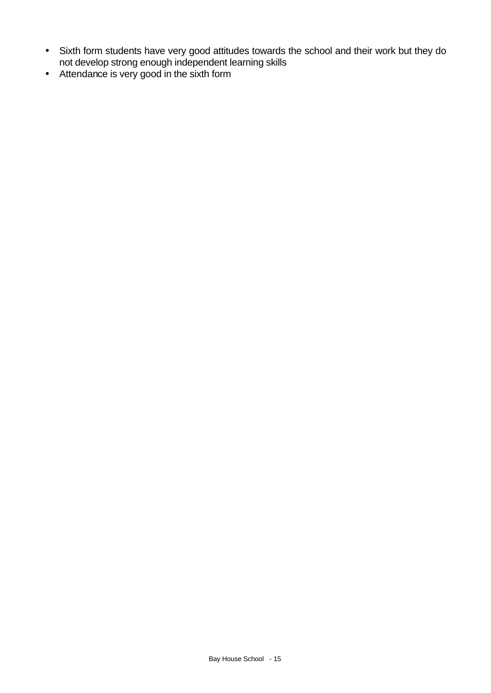- Sixth form students have very good attitudes towards the school and their work but they do not develop strong enough independent learning skills
- Attendance is very good in the sixth form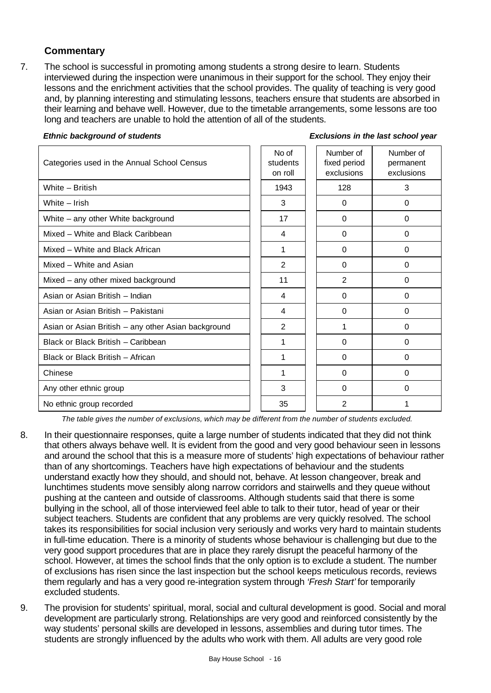## **Commentary**

7. The school is successful in promoting among students a strong desire to learn. Students interviewed during the inspection were unanimous in their support for the school. They enjoy their lessons and the enrichment activities that the school provides. The quality of teaching is very good and, by planning interesting and stimulating lessons, teachers ensure that students are absorbed in their learning and behave well. However, due to the timetable arrangements, some lessons are too long and teachers are unable to hold the attention of all of the students.

#### *Ethnic background of students Exclusions in the last school year*

| Categories used in the Annual School Census         | No of<br>students<br>on roll | Number of<br>fixed period<br>exclusions | Number of<br>permanent<br>exclusions |
|-----------------------------------------------------|------------------------------|-----------------------------------------|--------------------------------------|
| White - British                                     | 1943                         | 128                                     | 3                                    |
| White - Irish                                       | 3                            | $\Omega$                                | 0                                    |
| White - any other White background                  | 17                           | $\Omega$                                | $\Omega$                             |
| Mixed - White and Black Caribbean                   | 4                            | $\Omega$                                | $\Omega$                             |
| Mixed - White and Black African                     | 1                            | $\Omega$                                | 0                                    |
| Mixed - White and Asian                             | $\mathfrak{p}$               | $\Omega$                                | 0                                    |
| Mixed - any other mixed background                  | 11                           | 2                                       | 0                                    |
| Asian or Asian British - Indian                     | 4                            | $\Omega$                                | 0                                    |
| Asian or Asian British - Pakistani                  | 4                            | $\Omega$                                | 0                                    |
| Asian or Asian British - any other Asian background | $\overline{2}$               | 1                                       | 0                                    |
| Black or Black British - Caribbean                  | 1                            | $\Omega$                                | 0                                    |
| Black or Black British - African                    | 1                            | $\Omega$                                | 0                                    |
| Chinese                                             | 1                            | 0                                       | 0                                    |
| Any other ethnic group                              | 3                            | $\Omega$                                | 0                                    |
| No ethnic group recorded                            | 35                           | 2                                       | 1                                    |

*The table gives the number of exclusions, which may be different from the number of students excluded.*

- 8. In their questionnaire responses, quite a large number of students indicated that they did not think that others always behave well. It is evident from the good and very good behaviour seen in lessons and around the school that this is a measure more of students' high expectations of behaviour rather than of any shortcomings. Teachers have high expectations of behaviour and the students understand exactly how they should, and should not, behave. At lesson changeover, break and lunchtimes students move sensibly along narrow corridors and stairwells and they queue without pushing at the canteen and outside of classrooms. Although students said that there is some bullying in the school, all of those interviewed feel able to talk to their tutor, head of year or their subject teachers. Students are confident that any problems are very quickly resolved. The school takes its responsibilities for social inclusion very seriously and works very hard to maintain students in full-time education. There is a minority of students whose behaviour is challenging but due to the very good support procedures that are in place they rarely disrupt the peaceful harmony of the school. However, at times the school finds that the only option is to exclude a student. The number of exclusions has risen since the last inspection but the school keeps meticulous records, reviews them regularly and has a very good re-integration system through *'Fresh Start'* for temporarily excluded students.
- 9. The provision for students' spiritual, moral, social and cultural development is good. Social and moral development are particularly strong. Relationships are very good and reinforced consistently by the way students' personal skills are developed in lessons, assemblies and during tutor times. The students are strongly influenced by the adults who work with them. All adults are very good role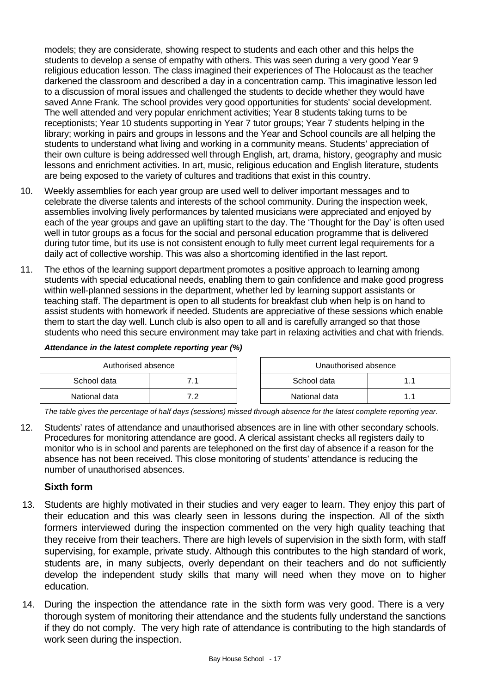models; they are considerate, showing respect to students and each other and this helps the students to develop a sense of empathy with others. This was seen during a very good Year 9 religious education lesson. The class imagined their experiences of The Holocaust as the teacher darkened the classroom and described a day in a concentration camp. This imaginative lesson led to a discussion of moral issues and challenged the students to decide whether they would have saved Anne Frank. The school provides very good opportunities for students' social development. The well attended and very popular enrichment activities; Year 8 students taking turns to be receptionists; Year 10 students supporting in Year 7 tutor groups; Year 7 students helping in the library; working in pairs and groups in lessons and the Year and School councils are all helping the students to understand what living and working in a community means. Students' appreciation of their own culture is being addressed well through English, art, drama, history, geography and music lessons and enrichment activities. In art, music, religious education and English literature, students are being exposed to the variety of cultures and traditions that exist in this country.

- 10. Weekly assemblies for each year group are used well to deliver important messages and to celebrate the diverse talents and interests of the school community. During the inspection week, assemblies involving lively performances by talented musicians were appreciated and enjoyed by each of the year groups and gave an uplifting start to the day. The 'Thought for the Day' is often used well in tutor groups as a focus for the social and personal education programme that is delivered during tutor time, but its use is not consistent enough to fully meet current legal requirements for a daily act of collective worship. This was also a shortcoming identified in the last report.
- 11. The ethos of the learning support department promotes a positive approach to learning among students with special educational needs, enabling them to gain confidence and make good progress within well-planned sessions in the department, whether led by learning support assistants or teaching staff. The department is open to all students for breakfast club when help is on hand to assist students with homework if needed. Students are appreciative of these sessions which enable them to start the day well. Lunch club is also open to all and is carefully arranged so that those students who need this secure environment may take part in relaxing activities and chat with friends.

| Authorised absence |     | Unauthorised absence |               |  |  |
|--------------------|-----|----------------------|---------------|--|--|
| School data        |     |                      | School data   |  |  |
| National data      | , , |                      | National data |  |  |

#### *Attendance in the latest complete reporting year (%)*

*The table gives the percentage of half days (sessions) missed through absence for the latest complete reporting year.* 

12. Students' rates of attendance and unauthorised absences are in line with other secondary schools. Procedures for monitoring attendance are good. A clerical assistant checks all registers daily to monitor who is in school and parents are telephoned on the first day of absence if a reason for the absence has not been received. This close monitoring of students' attendance is reducing the number of unauthorised absences.

## **Sixth form**

- 13. Students are highly motivated in their studies and very eager to learn. They enjoy this part of their education and this was clearly seen in lessons during the inspection. All of the sixth formers interviewed during the inspection commented on the very high quality teaching that they receive from their teachers. There are high levels of supervision in the sixth form, with staff supervising, for example, private study. Although this contributes to the high standard of work, students are, in many subjects, overly dependant on their teachers and do not sufficiently develop the independent study skills that many will need when they move on to higher education.
- 14. During the inspection the attendance rate in the sixth form was very good. There is a very thorough system of monitoring their attendance and the students fully understand the sanctions if they do not comply. The very high rate of attendance is contributing to the high standards of work seen during the inspection.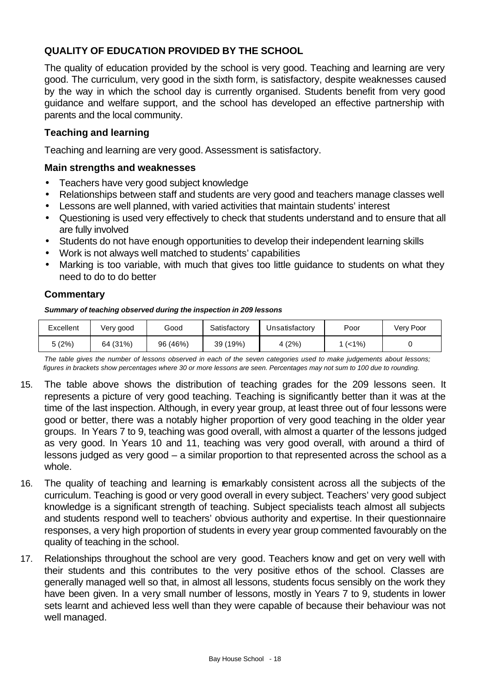# **QUALITY OF EDUCATION PROVIDED BY THE SCHOOL**

The quality of education provided by the school is very good. Teaching and learning are very good. The curriculum, very good in the sixth form, is satisfactory, despite weaknesses caused by the way in which the school day is currently organised. Students benefit from very good guidance and welfare support, and the school has developed an effective partnership with parents and the local community.

## **Teaching and learning**

Teaching and learning are very good. Assessment is satisfactory.

#### **Main strengths and weaknesses**

- Teachers have very good subject knowledge
- Relationships between staff and students are very good and teachers manage classes well
- Lessons are well planned, with varied activities that maintain students' interest
- Questioning is used very effectively to check that students understand and to ensure that all are fully involved
- Students do not have enough opportunities to develop their independent learning skills
- Work is not always well matched to students' capabilities
- Marking is too variable, with much that gives too little guidance to students on what they need to do to do better

## **Commentary**

*Summary of teaching observed during the inspection in 209 lessons*

| Excellent | Very good | Good     | Satisfactory | Jnsatisfactory | Poor | Verv Poor |
|-----------|-----------|----------|--------------|----------------|------|-----------|
| 5(2%)     | 64 (31%)  | 96 (46%) | (19%)<br>39  | (2%)<br>4⊣     | (<1% |           |

*The table gives the number of lessons observed in each of the seven categories used to make judgements about lessons; figures in brackets show percentages where 30 or more lessons are seen. Percentages may not sum to 100 due to rounding.*

- 15. The table above shows the distribution of teaching grades for the 209 lessons seen. It represents a picture of very good teaching. Teaching is significantly better than it was at the time of the last inspection. Although, in every year group, at least three out of four lessons were good or better, there was a notably higher proportion of very good teaching in the older year groups. In Years 7 to 9, teaching was good overall, with almost a quarter of the lessons judged as very good. In Years 10 and 11, teaching was very good overall, with around a third of lessons judged as very good – a similar proportion to that represented across the school as a whole.
- 16. The quality of teaching and learning is remarkably consistent across all the subjects of the curriculum. Teaching is good or very good overall in every subject. Teachers' very good subject knowledge is a significant strength of teaching. Subject specialists teach almost all subjects and students respond well to teachers' obvious authority and expertise. In their questionnaire responses, a very high proportion of students in every year group commented favourably on the quality of teaching in the school.
- 17. Relationships throughout the school are very good. Teachers know and get on very well with their students and this contributes to the very positive ethos of the school. Classes are generally managed well so that, in almost all lessons, students focus sensibly on the work they have been given. In a very small number of lessons, mostly in Years 7 to 9, students in lower sets learnt and achieved less well than they were capable of because their behaviour was not well managed.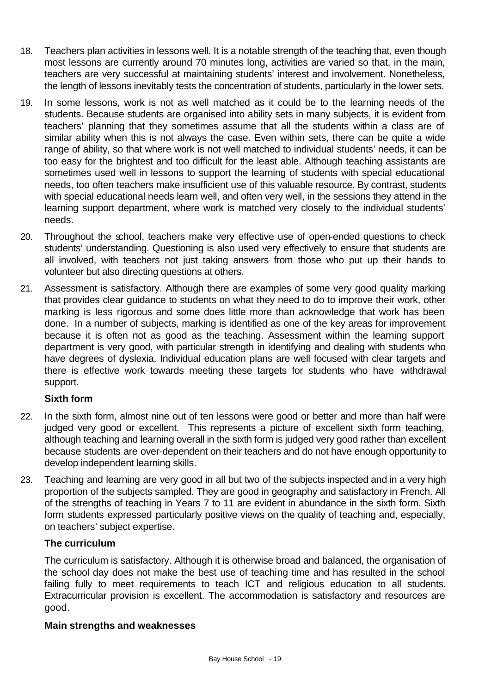- 18. Teachers plan activities in lessons well. It is a notable strength of the teaching that, even though most lessons are currently around 70 minutes long, activities are varied so that, in the main, teachers are very successful at maintaining students' interest and involvement. Nonetheless, the length of lessons inevitably tests the concentration of students, particularly in the lower sets.
- 19. In some lessons, work is not as well matched as it could be to the learning needs of the students. Because students are organised into ability sets in many subjects, it is evident from teachers' planning that they sometimes assume that all the students within a class are of similar ability when this is not always the case. Even within sets, there can be quite a wide range of ability, so that where work is not well matched to individual students' needs, it can be too easy for the brightest and too difficult for the least able. Although teaching assistants are sometimes used well in lessons to support the learning of students with special educational needs, too often teachers make insufficient use of this valuable resource. By contrast, students with special educational needs learn well, and often very well, in the sessions they attend in the learning support department, where work is matched very closely to the individual students' needs.
- 20. Throughout the school, teachers make very effective use of open-ended questions to check students' understanding. Questioning is also used very effectively to ensure that students are all involved, with teachers not just taking answers from those who put up their hands to volunteer but also directing questions at others.
- 21. Assessment is satisfactory. Although there are examples of some very good quality marking that provides clear guidance to students on what they need to do to improve their work, other marking is less rigorous and some does little more than acknowledge that work has been done. In a number of subjects, marking is identified as one of the key areas for improvement because it is often not as good as the teaching. Assessment within the learning support department is very good, with particular strength in identifying and dealing with students who have degrees of dyslexia. Individual education plans are well focused with clear targets and there is effective work towards meeting these targets for students who have withdrawal support.

# **Sixth form**

- 22. In the sixth form, almost nine out of ten lessons were good or better and more than half were judged very good or excellent. This represents a picture of excellent sixth form teaching, although teaching and learning overall in the sixth form is judged very good rather than excellent because students are over-dependent on their teachers and do not have enough opportunity to develop independent learning skills.
- 23. Teaching and learning are very good in all but two of the subjects inspected and in a very high proportion of the subjects sampled. They are good in geography and satisfactory in French. All of the strengths of teaching in Years 7 to 11 are evident in abundance in the sixth form. Sixth form students expressed particularly positive views on the quality of teaching and, especially, on teachers' subject expertise.

## **The curriculum**

The curriculum is satisfactory. Although it is otherwise broad and balanced, the organisation of the school day does not make the best use of teaching time and has resulted in the school failing fully to meet requirements to teach ICT and religious education to all students. Extracurricular provision is excellent. The accommodation is satisfactory and resources are good.

#### **Main strengths and weaknesses**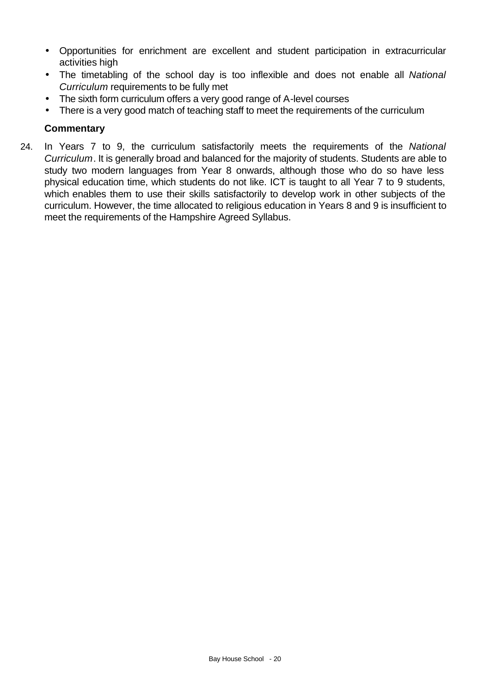- Opportunities for enrichment are excellent and student participation in extracurricular activities high
- The timetabling of the school day is too inflexible and does not enable all *National Curriculum* requirements to be fully met
- The sixth form curriculum offers a very good range of A-level courses
- There is a very good match of teaching staff to meet the requirements of the curriculum

## **Commentary**

24. In Years 7 to 9, the curriculum satisfactorily meets the requirements of the *National Curriculum*. It is generally broad and balanced for the majority of students. Students are able to study two modern languages from Year 8 onwards, although those who do so have less physical education time, which students do not like. ICT is taught to all Year 7 to 9 students, which enables them to use their skills satisfactorily to develop work in other subjects of the curriculum. However, the time allocated to religious education in Years 8 and 9 is insufficient to meet the requirements of the Hampshire Agreed Syllabus.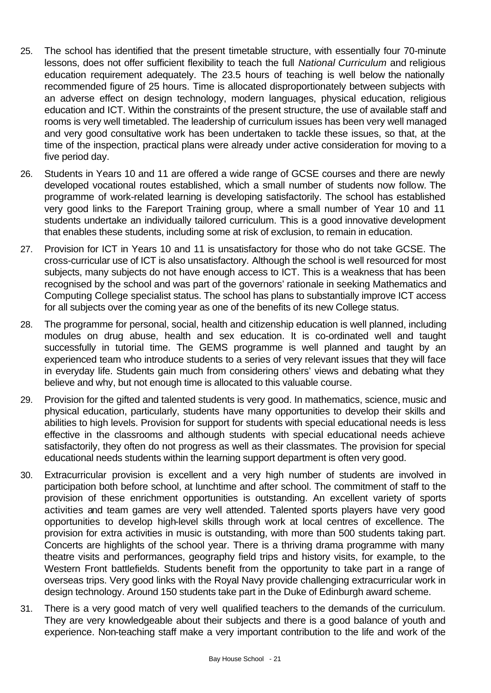- 25. The school has identified that the present timetable structure, with essentially four 70-minute lessons, does not offer sufficient flexibility to teach the full *National Curriculum* and religious education requirement adequately. The 23.5 hours of teaching is well below the nationally recommended figure of 25 hours. Time is allocated disproportionately between subjects with an adverse effect on design technology, modern languages, physical education, religious education and ICT. Within the constraints of the present structure, the use of available staff and rooms is very well timetabled. The leadership of curriculum issues has been very well managed and very good consultative work has been undertaken to tackle these issues, so that, at the time of the inspection, practical plans were already under active consideration for moving to a five period day.
- 26. Students in Years 10 and 11 are offered a wide range of GCSE courses and there are newly developed vocational routes established, which a small number of students now follow. The programme of work-related learning is developing satisfactorily. The school has established very good links to the Fareport Training group, where a small number of Year 10 and 11 students undertake an individually tailored curriculum. This is a good innovative development that enables these students, including some at risk of exclusion, to remain in education.
- 27. Provision for ICT in Years 10 and 11 is unsatisfactory for those who do not take GCSE. The cross-curricular use of ICT is also unsatisfactory. Although the school is well resourced for most subjects, many subjects do not have enough access to ICT. This is a weakness that has been recognised by the school and was part of the governors' rationale in seeking Mathematics and Computing College specialist status. The school has plans to substantially improve ICT access for all subjects over the coming year as one of the benefits of its new College status.
- 28. The programme for personal, social, health and citizenship education is well planned, including modules on drug abuse, health and sex education. It is co-ordinated well and taught successfully in tutorial time. The GEMS programme is well planned and taught by an experienced team who introduce students to a series of very relevant issues that they will face in everyday life. Students gain much from considering others' views and debating what they believe and why, but not enough time is allocated to this valuable course.
- 29. Provision for the gifted and talented students is very good. In mathematics, science, music and physical education, particularly, students have many opportunities to develop their skills and abilities to high levels. Provision for support for students with special educational needs is less effective in the classrooms and although students with special educational needs achieve satisfactorily, they often do not progress as well as their classmates. The provision for special educational needs students within the learning support department is often very good.
- 30. Extracurricular provision is excellent and a very high number of students are involved in participation both before school, at lunchtime and after school. The commitment of staff to the provision of these enrichment opportunities is outstanding. An excellent variety of sports activities and team games are very well attended. Talented sports players have very good opportunities to develop high-level skills through work at local centres of excellence. The provision for extra activities in music is outstanding, with more than 500 students taking part. Concerts are highlights of the school year. There is a thriving drama programme with many theatre visits and performances, geography field trips and history visits, for example, to the Western Front battlefields. Students benefit from the opportunity to take part in a range of overseas trips. Very good links with the Royal Navy provide challenging extracurricular work in design technology. Around 150 students take part in the Duke of Edinburgh award scheme.
- 31. There is a very good match of very well qualified teachers to the demands of the curriculum. They are very knowledgeable about their subjects and there is a good balance of youth and experience. Non-teaching staff make a very important contribution to the life and work of the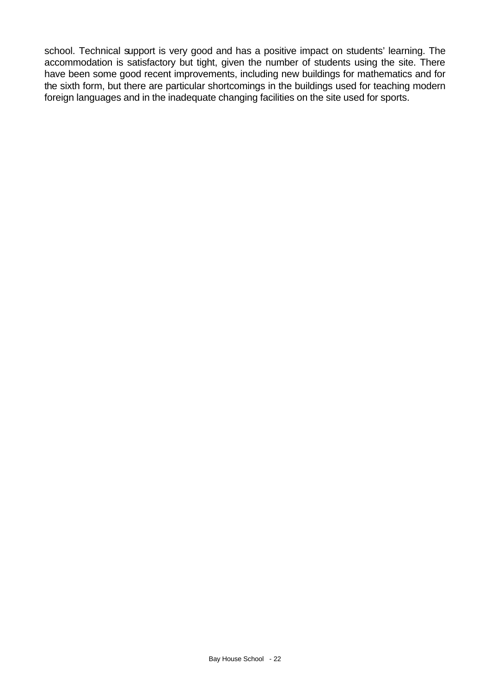school. Technical support is very good and has a positive impact on students' learning. The accommodation is satisfactory but tight, given the number of students using the site. There have been some good recent improvements, including new buildings for mathematics and for the sixth form, but there are particular shortcomings in the buildings used for teaching modern foreign languages and in the inadequate changing facilities on the site used for sports.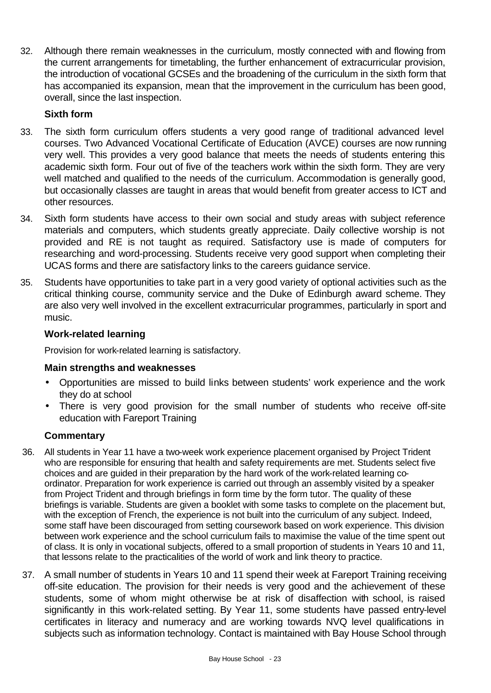32. Although there remain weaknesses in the curriculum, mostly connected with and flowing from the current arrangements for timetabling, the further enhancement of extracurricular provision, the introduction of vocational GCSEs and the broadening of the curriculum in the sixth form that has accompanied its expansion, mean that the improvement in the curriculum has been good, overall, since the last inspection.

# **Sixth form**

- 33. The sixth form curriculum offers students a very good range of traditional advanced level courses. Two Advanced Vocational Certificate of Education (AVCE) courses are now running very well. This provides a very good balance that meets the needs of students entering this academic sixth form. Four out of five of the teachers work within the sixth form. They are very well matched and qualified to the needs of the curriculum. Accommodation is generally good, but occasionally classes are taught in areas that would benefit from greater access to ICT and other resources.
- 34. Sixth form students have access to their own social and study areas with subject reference materials and computers, which students greatly appreciate. Daily collective worship is not provided and RE is not taught as required. Satisfactory use is made of computers for researching and word-processing. Students receive very good support when completing their UCAS forms and there are satisfactory links to the careers guidance service.
- 35. Students have opportunities to take part in a very good variety of optional activities such as the critical thinking course, community service and the Duke of Edinburgh award scheme. They are also very well involved in the excellent extracurricular programmes, particularly in sport and music.

## **Work-related learning**

Provision for work-related learning is satisfactory.

## **Main strengths and weaknesses**

- Opportunities are missed to build links between students' work experience and the work they do at school
- There is very good provision for the small number of students who receive off-site education with Fareport Training

- 36. All students in Year 11 have a two-week work experience placement organised by Project Trident who are responsible for ensuring that health and safety requirements are met. Students select five choices and are guided in their preparation by the hard work of the work-related learning coordinator. Preparation for work experience is carried out through an assembly visited by a speaker from Project Trident and through briefings in form time by the form tutor. The quality of these briefings is variable. Students are given a booklet with some tasks to complete on the placement but, with the exception of French, the experience is not built into the curriculum of any subject. Indeed, some staff have been discouraged from setting coursework based on work experience. This division between work experience and the school curriculum fails to maximise the value of the time spent out of class. It is only in vocational subjects, offered to a small proportion of students in Years 10 and 11, that lessons relate to the practicalities of the world of work and link theory to practice.
- 37. A small number of students in Years 10 and 11 spend their week at Fareport Training receiving off-site education. The provision for their needs is very good and the achievement of these students, some of whom might otherwise be at risk of disaffection with school, is raised significantly in this work-related setting. By Year 11, some students have passed entry-level certificates in literacy and numeracy and are working towards NVQ level qualifications in subjects such as information technology. Contact is maintained with Bay House School through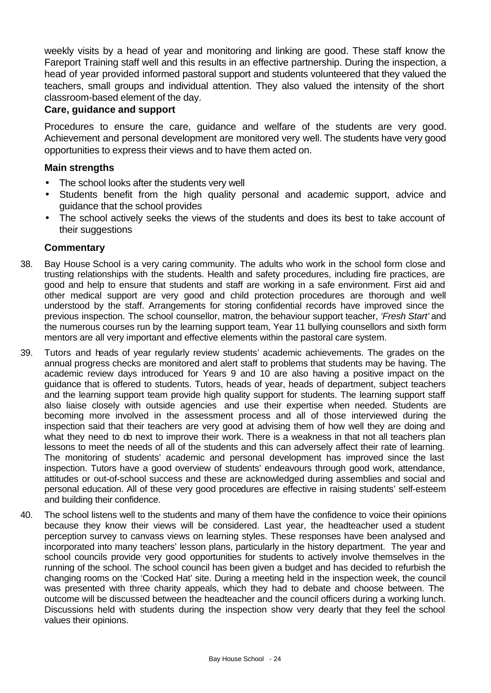weekly visits by a head of year and monitoring and linking are good. These staff know the Fareport Training staff well and this results in an effective partnership. During the inspection, a head of year provided informed pastoral support and students volunteered that they valued the teachers, small groups and individual attention. They also valued the intensity of the short classroom-based element of the day.

#### **Care, guidance and support**

Procedures to ensure the care, guidance and welfare of the students are very good. Achievement and personal development are monitored very well. The students have very good opportunities to express their views and to have them acted on.

#### **Main strengths**

- The school looks after the students very well
- Students benefit from the high quality personal and academic support, advice and guidance that the school provides
- The school actively seeks the views of the students and does its best to take account of their suggestions

- 38. Bay House School is a very caring community. The adults who work in the school form close and trusting relationships with the students. Health and safety procedures, including fire practices, are good and help to ensure that students and staff are working in a safe environment. First aid and other medical support are very good and child protection procedures are thorough and well understood by the staff. Arrangements for storing confidential records have improved since the previous inspection. The school counsellor, matron, the behaviour support teacher, *'Fresh Start'* and the numerous courses run by the learning support team, Year 11 bullying counsellors and sixth form mentors are all very important and effective elements within the pastoral care system.
- 39. Tutors and heads of year regularly review students' academic achievements. The grades on the annual progress checks are monitored and alert staff to problems that students may be having. The academic review days introduced for Years 9 and 10 are also having a positive impact on the guidance that is offered to students. Tutors, heads of year, heads of department, subject teachers and the learning support team provide high quality support for students. The learning support staff also liaise closely with outside agencies and use their expertise when needed. Students are becoming more involved in the assessment process and all of those interviewed during the inspection said that their teachers are very good at advising them of how well they are doing and what they need to do next to improve their work. There is a weakness in that not all teachers plan lessons to meet the needs of all of the students and this can adversely affect their rate of learning. The monitoring of students' academic and personal development has improved since the last inspection. Tutors have a good overview of students' endeavours through good work, attendance, attitudes or out-of-school success and these are acknowledged during assemblies and social and personal education. All of these very good procedures are effective in raising students' self-esteem and building their confidence.
- 40. The school listens well to the students and many of them have the confidence to voice their opinions because they know their views will be considered. Last year, the headteacher used a student perception survey to canvass views on learning styles. These responses have been analysed and incorporated into many teachers' lesson plans, particularly in the history department. The year and school councils provide very good opportunities for students to actively involve themselves in the running of the school. The school council has been given a budget and has decided to refurbish the changing rooms on the 'Cocked Hat' site. During a meeting held in the inspection week, the council was presented with three charity appeals, which they had to debate and choose between. The outcome will be discussed between the headteacher and the council officers during a working lunch. Discussions held with students during the inspection show very dearly that they feel the school values their opinions.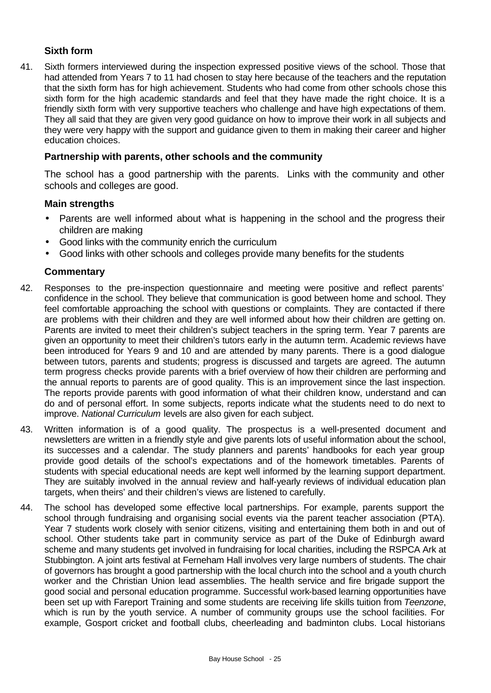## **Sixth form**

41. Sixth formers interviewed during the inspection expressed positive views of the school. Those that had attended from Years 7 to 11 had chosen to stay here because of the teachers and the reputation that the sixth form has for high achievement. Students who had come from other schools chose this sixth form for the high academic standards and feel that they have made the right choice. It is a friendly sixth form with very supportive teachers who challenge and have high expectations of them. They all said that they are given very good guidance on how to improve their work in all subjects and they were very happy with the support and guidance given to them in making their career and higher education choices.

#### **Partnership with parents, other schools and the community**

The school has a good partnership with the parents. Links with the community and other schools and colleges are good.

#### **Main strengths**

- Parents are well informed about what is happening in the school and the progress their children are making
- Good links with the community enrich the curriculum
- Good links with other schools and colleges provide many benefits for the students

- 42. Responses to the pre-inspection questionnaire and meeting were positive and reflect parents' confidence in the school. They believe that communication is good between home and school. They feel comfortable approaching the school with questions or complaints. They are contacted if there are problems with their children and they are well informed about how their children are getting on. Parents are invited to meet their children's subject teachers in the spring term. Year 7 parents are given an opportunity to meet their children's tutors early in the autumn term. Academic reviews have been introduced for Years 9 and 10 and are attended by many parents. There is a good dialogue between tutors, parents and students; progress is discussed and targets are agreed. The autumn term progress checks provide parents with a brief overview of how their children are performing and the annual reports to parents are of good quality. This is an improvement since the last inspection. The reports provide parents with good information of what their children know, understand and can do and of personal effort. In some subjects, reports indicate what the students need to do next to improve. *National Curriculum* levels are also given for each subject.
- 43. Written information is of a good quality. The prospectus is a well-presented document and newsletters are written in a friendly style and give parents lots of useful information about the school, its successes and a calendar. The study planners and parents' handbooks for each year group provide good details of the school's expectations and of the homework timetables. Parents of students with special educational needs are kept well informed by the learning support department. They are suitably involved in the annual review and half-yearly reviews of individual education plan targets, when theirs' and their children's views are listened to carefully.
- 44. The school has developed some effective local partnerships. For example, parents support the school through fundraising and organising social events via the parent teacher association (PTA). Year 7 students work closely with senior citizens, visiting and entertaining them both in and out of school. Other students take part in community service as part of the Duke of Edinburgh award scheme and many students get involved in fundraising for local charities, including the RSPCA Ark at Stubbington. A joint arts festival at Ferneham Hall involves very large numbers of students. The chair of governors has brought a good partnership with the local church into the school and a youth church worker and the Christian Union lead assemblies. The health service and fire brigade support the good social and personal education programme. Successful work-based learning opportunities have been set up with Fareport Training and some students are receiving life skills tuition from *Teenzone*, which is run by the youth service. A number of community groups use the school facilities. For example, Gosport cricket and football clubs, cheerleading and badminton clubs. Local historians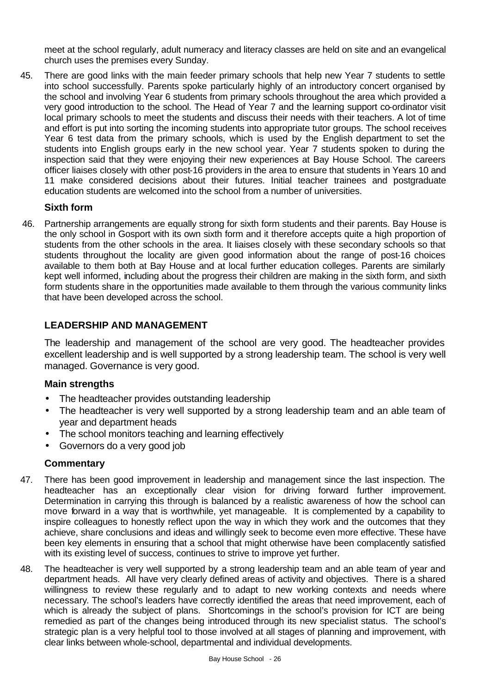meet at the school regularly, adult numeracy and literacy classes are held on site and an evangelical church uses the premises every Sunday.

45. There are good links with the main feeder primary schools that help new Year 7 students to settle into school successfully. Parents spoke particularly highly of an introductory concert organised by the school and involving Year 6 students from primary schools throughout the area which provided a very good introduction to the school. The Head of Year 7 and the learning support co-ordinator visit local primary schools to meet the students and discuss their needs with their teachers. A lot of time and effort is put into sorting the incoming students into appropriate tutor groups. The school receives Year 6 test data from the primary schools, which is used by the English department to set the students into English groups early in the new school year. Year 7 students spoken to during the inspection said that they were enjoying their new experiences at Bay House School. The careers officer liaises closely with other post-16 providers in the area to ensure that students in Years 10 and 11 make considered decisions about their futures. Initial teacher trainees and postgraduate education students are welcomed into the school from a number of universities.

## **Sixth form**

46. Partnership arrangements are equally strong for sixth form students and their parents. Bay House is the only school in Gosport with its own sixth form and it therefore accepts quite a high proportion of students from the other schools in the area. It liaises closely with these secondary schools so that students throughout the locality are given good information about the range of post-16 choices available to them both at Bay House and at local further education colleges. Parents are similarly kept well informed, including about the progress their children are making in the sixth form, and sixth form students share in the opportunities made available to them through the various community links that have been developed across the school.

## **LEADERSHIP AND MANAGEMENT**

The leadership and management of the school are very good. The headteacher provides excellent leadership and is well supported by a strong leadership team. The school is very well managed. Governance is very good.

## **Main strengths**

- The headteacher provides outstanding leadership
- The headteacher is very well supported by a strong leadership team and an able team of year and department heads
- The school monitors teaching and learning effectively
- Governors do a very good job

- 47. There has been good improvement in leadership and management since the last inspection. The headteacher has an exceptionally clear vision for driving forward further improvement. Determination in carrying this through is balanced by a realistic awareness of how the school can move forward in a way that is worthwhile, yet manageable. It is complemented by a capability to inspire colleagues to honestly reflect upon the way in which they work and the outcomes that they achieve, share conclusions and ideas and willingly seek to become even more effective. These have been key elements in ensuring that a school that might otherwise have been complacently satisfied with its existing level of success, continues to strive to improve yet further.
- 48. The headteacher is very well supported by a strong leadership team and an able team of year and department heads. All have very clearly defined areas of activity and objectives. There is a shared willingness to review these regularly and to adapt to new working contexts and needs where necessary. The school's leaders have correctly identified the areas that need improvement, each of which is already the subject of plans. Shortcomings in the school's provision for ICT are being remedied as part of the changes being introduced through its new specialist status. The school's strategic plan is a very helpful tool to those involved at all stages of planning and improvement, with clear links between whole-school, departmental and individual developments.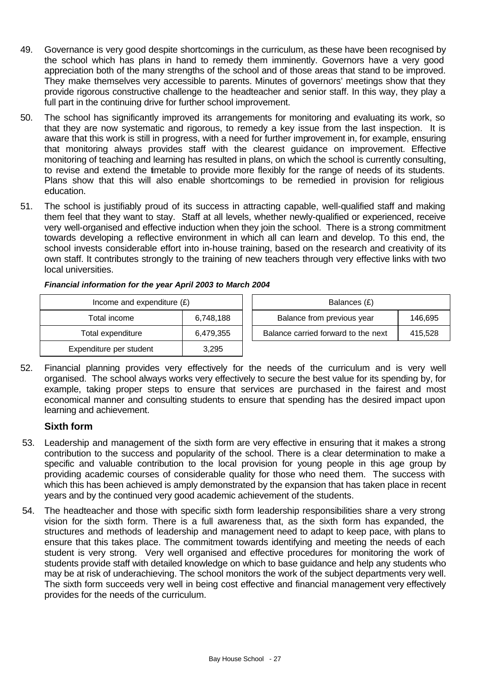- 49. Governance is very good despite shortcomings in the curriculum, as these have been recognised by the school which has plans in hand to remedy them imminently. Governors have a very good appreciation both of the many strengths of the school and of those areas that stand to be improved. They make themselves very accessible to parents. Minutes of governors' meetings show that they provide rigorous constructive challenge to the headteacher and senior staff. In this way, they play a full part in the continuing drive for further school improvement.
- 50. The school has significantly improved its arrangements for monitoring and evaluating its work, so that they are now systematic and rigorous, to remedy a key issue from the last inspection. It is aware that this work is still in progress, with a need for further improvement in, for example, ensuring that monitoring always provides staff with the clearest guidance on improvement. Effective monitoring of teaching and learning has resulted in plans, on which the school is currently consulting, to revise and extend the timetable to provide more flexibly for the range of needs of its students. Plans show that this will also enable shortcomings to be remedied in provision for religious education.
- 51. The school is justifiably proud of its success in attracting capable, well-qualified staff and making them feel that they want to stay. Staff at all levels, whether newly-qualified or experienced, receive very well-organised and effective induction when they join the school. There is a strong commitment towards developing a reflective environment in which all can learn and develop. To this end, the school invests considerable effort into in-house training, based on the research and creativity of its own staff. It contributes strongly to the training of new teachers through very effective links with two local universities.

| Income and expenditure $(E)$ | Balances (£) |                                  |
|------------------------------|--------------|----------------------------------|
| Total income                 | 6,748,188    | Balance from previous year       |
| Total expenditure            | 6,479,355    | Balance carried forward to the r |
| Expenditure per student      | 3,295        |                                  |

| Income and expenditure $(E)$ |           | Balances (£)                        |         |
|------------------------------|-----------|-------------------------------------|---------|
| Total income                 | 6,748,188 | Balance from previous year          | 146.695 |
| Total expenditure            | 6,479,355 | Balance carried forward to the next | 415.528 |

52. Financial planning provides very effectively for the needs of the curriculum and is very well organised. The school always works very effectively to secure the best value for its spending by, for example, taking proper steps to ensure that services are purchased in the fairest and most economical manner and consulting students to ensure that spending has the desired impact upon learning and achievement.

## **Sixth form**

- 53. Leadership and management of the sixth form are very effective in ensuring that it makes a strong contribution to the success and popularity of the school. There is a clear determination to make a specific and valuable contribution to the local provision for young people in this age group by providing academic courses of considerable quality for those who need them. The success with which this has been achieved is amply demonstrated by the expansion that has taken place in recent years and by the continued very good academic achievement of the students.
- 54. The headteacher and those with specific sixth form leadership responsibilities share a very strong vision for the sixth form. There is a full awareness that, as the sixth form has expanded, the structures and methods of leadership and management need to adapt to keep pace, with plans to ensure that this takes place. The commitment towards identifying and meeting the needs of each student is very strong. Very well organised and effective procedures for monitoring the work of students provide staff with detailed knowledge on which to base guidance and help any students who may be at risk of underachieving. The school monitors the work of the subject departments very well. The sixth form succeeds very well in being cost effective and financial management very effectively provides for the needs of the curriculum.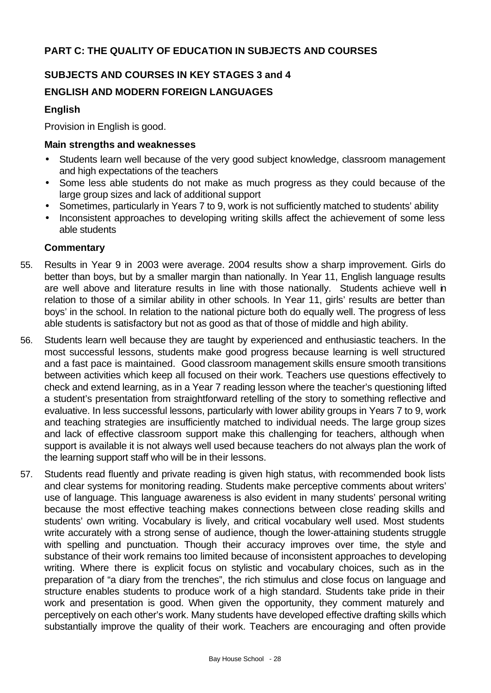# **SUBJECTS AND COURSES IN KEY STAGES 3 and 4**

# **ENGLISH AND MODERN FOREIGN LANGUAGES**

## **English**

Provision in English is good.

#### **Main strengths and weaknesses**

- Students learn well because of the very good subject knowledge, classroom management and high expectations of the teachers
- Some less able students do not make as much progress as they could because of the large group sizes and lack of additional support
- Sometimes, particularly in Years 7 to 9, work is not sufficiently matched to students' ability
- Inconsistent approaches to developing writing skills affect the achievement of some less able students

- 55. Results in Year 9 in 2003 were average. 2004 results show a sharp improvement. Girls do better than boys, but by a smaller margin than nationally. In Year 11, English language results are well above and literature results in line with those nationally. Students achieve well in relation to those of a similar ability in other schools. In Year 11, girls' results are better than boys' in the school. In relation to the national picture both do equally well. The progress of less able students is satisfactory but not as good as that of those of middle and high ability.
- 56. Students learn well because they are taught by experienced and enthusiastic teachers. In the most successful lessons, students make good progress because learning is well structured and a fast pace is maintained. Good classroom management skills ensure smooth transitions between activities which keep all focused on their work. Teachers use questions effectively to check and extend learning, as in a Year 7 reading lesson where the teacher's questioning lifted a student's presentation from straightforward retelling of the story to something reflective and evaluative. In less successful lessons, particularly with lower ability groups in Years 7 to 9, work and teaching strategies are insufficiently matched to individual needs. The large group sizes and lack of effective classroom support make this challenging for teachers, although when support is available it is not always well used because teachers do not always plan the work of the learning support staff who will be in their lessons.
- 57. Students read fluently and private reading is given high status, with recommended book lists and clear systems for monitoring reading. Students make perceptive comments about writers' use of language. This language awareness is also evident in many students' personal writing because the most effective teaching makes connections between close reading skills and students' own writing. Vocabulary is lively, and critical vocabulary well used. Most students write accurately with a strong sense of audience, though the lower-attaining students struggle with spelling and punctuation. Though their accuracy improves over time, the style and substance of their work remains too limited because of inconsistent approaches to developing writing. Where there is explicit focus on stylistic and vocabulary choices, such as in the preparation of "a diary from the trenches", the rich stimulus and close focus on language and structure enables students to produce work of a high standard. Students take pride in their work and presentation is good. When given the opportunity, they comment maturely and perceptively on each other's work. Many students have developed effective drafting skills which substantially improve the quality of their work. Teachers are encouraging and often provide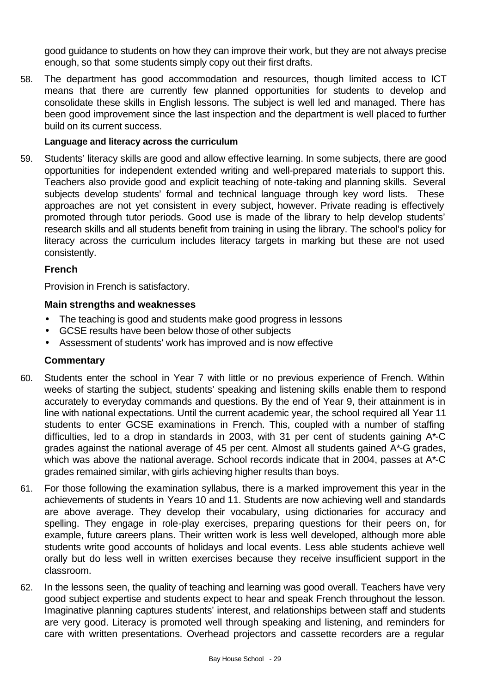good guidance to students on how they can improve their work, but they are not always precise enough, so that some students simply copy out their first drafts.

58. The department has good accommodation and resources, though limited access to ICT means that there are currently few planned opportunities for students to develop and consolidate these skills in English lessons. The subject is well led and managed. There has been good improvement since the last inspection and the department is well placed to further build on its current success.

#### **Language and literacy across the curriculum**

59. Students' literacy skills are good and allow effective learning. In some subjects, there are good opportunities for independent extended writing and well-prepared materials to support this. Teachers also provide good and explicit teaching of note-taking and planning skills. Several subjects develop students' formal and technical language through key word lists. These approaches are not yet consistent in every subject, however. Private reading is effectively promoted through tutor periods. Good use is made of the library to help develop students' research skills and all students benefit from training in using the library. The school's policy for literacy across the curriculum includes literacy targets in marking but these are not used consistently.

#### **French**

Provision in French is satisfactory.

#### **Main strengths and weaknesses**

- The teaching is good and students make good progress in lessons
- GCSE results have been below those of other subjects
- Assessment of students' work has improved and is now effective

- 60. Students enter the school in Year 7 with little or no previous experience of French. Within weeks of starting the subject, students' speaking and listening skills enable them to respond accurately to everyday commands and questions. By the end of Year 9, their attainment is in line with national expectations. Until the current academic year, the school required all Year 11 students to enter GCSE examinations in French. This, coupled with a number of staffing difficulties, led to a drop in standards in 2003, with 31 per cent of students gaining A\*-C grades against the national average of 45 per cent. Almost all students gained A\*-G grades, which was above the national average. School records indicate that in 2004, passes at A\*-C grades remained similar, with girls achieving higher results than boys.
- 61. For those following the examination syllabus, there is a marked improvement this year in the achievements of students in Years 10 and 11. Students are now achieving well and standards are above average. They develop their vocabulary, using dictionaries for accuracy and spelling. They engage in role-play exercises, preparing questions for their peers on, for example, future careers plans. Their written work is less well developed, although more able students write good accounts of holidays and local events. Less able students achieve well orally but do less well in written exercises because they receive insufficient support in the classroom.
- 62. In the lessons seen, the quality of teaching and learning was good overall. Teachers have very good subject expertise and students expect to hear and speak French throughout the lesson. Imaginative planning captures students' interest, and relationships between staff and students are very good. Literacy is promoted well through speaking and listening, and reminders for care with written presentations. Overhead projectors and cassette recorders are a regular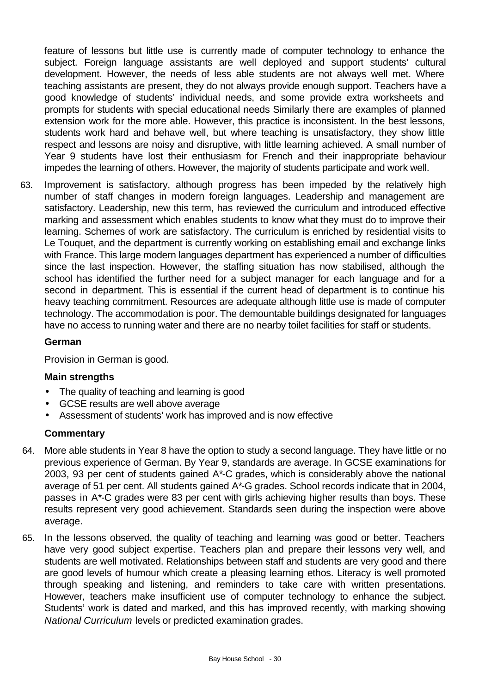feature of lessons but little use is currently made of computer technology to enhance the subject. Foreign language assistants are well deployed and support students' cultural development. However, the needs of less able students are not always well met. Where teaching assistants are present, they do not always provide enough support. Teachers have a good knowledge of students' individual needs, and some provide extra worksheets and prompts for students with special educational needs Similarly there are examples of planned extension work for the more able. However, this practice is inconsistent. In the best lessons, students work hard and behave well, but where teaching is unsatisfactory, they show little respect and lessons are noisy and disruptive, with little learning achieved. A small number of Year 9 students have lost their enthusiasm for French and their inappropriate behaviour impedes the learning of others. However, the majority of students participate and work well.

63. Improvement is satisfactory, although progress has been impeded by the relatively high number of staff changes in modern foreign languages. Leadership and management are satisfactory. Leadership, new this term, has reviewed the curriculum and introduced effective marking and assessment which enables students to know what they must do to improve their learning. Schemes of work are satisfactory. The curriculum is enriched by residential visits to Le Touquet, and the department is currently working on establishing email and exchange links with France. This large modern languages department has experienced a number of difficulties since the last inspection. However, the staffing situation has now stabilised, although the school has identified the further need for a subject manager for each language and for a second in department. This is essential if the current head of department is to continue his heavy teaching commitment. Resources are adequate although little use is made of computer technology. The accommodation is poor. The demountable buildings designated for languages have no access to running water and there are no nearby toilet facilities for staff or students.

#### **German**

Provision in German is good.

#### **Main strengths**

- The quality of teaching and learning is good
- GCSE results are well above average
- Assessment of students' work has improved and is now effective

- 64. More able students in Year 8 have the option to study a second language. They have little or no previous experience of German. By Year 9, standards are average. In GCSE examinations for 2003, 93 per cent of students gained A\*-C grades, which is considerably above the national average of 51 per cent. All students gained A\*-G grades. School records indicate that in 2004, passes in A\*-C grades were 83 per cent with girls achieving higher results than boys. These results represent very good achievement. Standards seen during the inspection were above average.
- 65. In the lessons observed, the quality of teaching and learning was good or better. Teachers have very good subject expertise. Teachers plan and prepare their lessons very well, and students are well motivated. Relationships between staff and students are very good and there are good levels of humour which create a pleasing learning ethos. Literacy is well promoted through speaking and listening, and reminders to take care with written presentations. However, teachers make insufficient use of computer technology to enhance the subject. Students' work is dated and marked, and this has improved recently, with marking showing *National Curriculum* levels or predicted examination grades.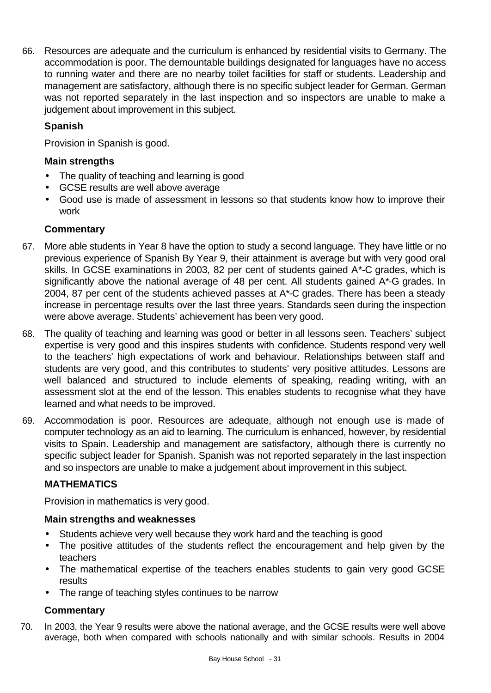66. Resources are adequate and the curriculum is enhanced by residential visits to Germany. The accommodation is poor. The demountable buildings designated for languages have no access to running water and there are no nearby toilet facilities for staff or students. Leadership and management are satisfactory, although there is no specific subject leader for German. German was not reported separately in the last inspection and so inspectors are unable to make a judgement about improvement in this subject.

# **Spanish**

Provision in Spanish is good.

## **Main strengths**

- The quality of teaching and learning is good
- GCSE results are well above average
- Good use is made of assessment in lessons so that students know how to improve their work

## **Commentary**

- 67. More able students in Year 8 have the option to study a second language. They have little or no previous experience of Spanish By Year 9, their attainment is average but with very good oral skills. In GCSE examinations in 2003, 82 per cent of students gained A\*-C grades, which is significantly above the national average of 48 per cent. All students gained A\*-G grades. In 2004, 87 per cent of the students achieved passes at A\*-C grades. There has been a steady increase in percentage results over the last three years. Standards seen during the inspection were above average. Students' achievement has been very good.
- 68. The quality of teaching and learning was good or better in all lessons seen. Teachers' subject expertise is very good and this inspires students with confidence. Students respond very well to the teachers' high expectations of work and behaviour. Relationships between staff and students are very good, and this contributes to students' very positive attitudes. Lessons are well balanced and structured to include elements of speaking, reading writing, with an assessment slot at the end of the lesson. This enables students to recognise what they have learned and what needs to be improved.
- 69. Accommodation is poor. Resources are adequate, although not enough use is made of computer technology as an aid to learning. The curriculum is enhanced, however, by residential visits to Spain. Leadership and management are satisfactory, although there is currently no specific subject leader for Spanish. Spanish was not reported separately in the last inspection and so inspectors are unable to make a judgement about improvement in this subject.

# **MATHEMATICS**

Provision in mathematics is very good.

#### **Main strengths and weaknesses**

- Students achieve very well because they work hard and the teaching is good
- The positive attitudes of the students reflect the encouragement and help given by the teachers
- The mathematical expertise of the teachers enables students to gain very good GCSE results
- The range of teaching styles continues to be narrow

## **Commentary**

70. In 2003, the Year 9 results were above the national average, and the GCSE results were well above average, both when compared with schools nationally and with similar schools. Results in 2004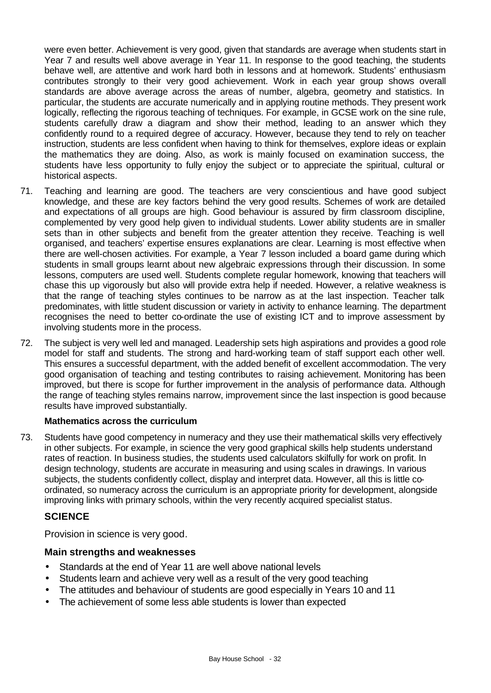were even better. Achievement is very good, given that standards are average when students start in Year 7 and results well above average in Year 11. In response to the good teaching, the students behave well, are attentive and work hard both in lessons and at homework. Students' enthusiasm contributes strongly to their very good achievement. Work in each year group shows overall standards are above average across the areas of number, algebra, geometry and statistics. In particular, the students are accurate numerically and in applying routine methods. They present work logically, reflecting the rigorous teaching of techniques. For example, in GCSE work on the sine rule, students carefully draw a diagram and show their method, leading to an answer which they confidently round to a required degree of accuracy. However, because they tend to rely on teacher instruction, students are less confident when having to think for themselves, explore ideas or explain the mathematics they are doing. Also, as work is mainly focused on examination success, the students have less opportunity to fully enjoy the subject or to appreciate the spiritual, cultural or historical aspects.

- 71. Teaching and learning are good. The teachers are very conscientious and have good subject knowledge, and these are key factors behind the very good results. Schemes of work are detailed and expectations of all groups are high. Good behaviour is assured by firm classroom discipline, complemented by very good help given to individual students. Lower ability students are in smaller sets than in other subjects and benefit from the greater attention they receive. Teaching is well organised, and teachers' expertise ensures explanations are clear. Learning is most effective when there are well-chosen activities. For example, a Year 7 lesson included a board game during which students in small groups learnt about new algebraic expressions through their discussion. In some lessons, computers are used well. Students complete regular homework, knowing that teachers will chase this up vigorously but also will provide extra help if needed. However, a relative weakness is that the range of teaching styles continues to be narrow as at the last inspection. Teacher talk predominates, with little student discussion or variety in activity to enhance learning. The department recognises the need to better co-ordinate the use of existing ICT and to improve assessment by involving students more in the process.
- 72. The subject is very well led and managed. Leadership sets high aspirations and provides a good role model for staff and students. The strong and hard-working team of staff support each other well. This ensures a successful department, with the added benefit of excellent accommodation. The very good organisation of teaching and testing contributes to raising achievement. Monitoring has been improved, but there is scope for further improvement in the analysis of performance data. Although the range of teaching styles remains narrow, improvement since the last inspection is good because results have improved substantially.

#### **Mathematics across the curriculum**

73. Students have good competency in numeracy and they use their mathematical skills very effectively in other subjects. For example, in science the very good graphical skills help students understand rates of reaction. In business studies, the students used calculators skilfully for work on profit. In design technology, students are accurate in measuring and using scales in drawings. In various subjects, the students confidently collect, display and interpret data. However, all this is little coordinated, so numeracy across the curriculum is an appropriate priority for development, alongside improving links with primary schools, within the very recently acquired specialist status.

## **SCIENCE**

Provision in science is very good.

## **Main strengths and weaknesses**

- Standards at the end of Year 11 are well above national levels
- Students learn and achieve very well as a result of the very good teaching
- The attitudes and behaviour of students are good especially in Years 10 and 11
- The achievement of some less able students is lower than expected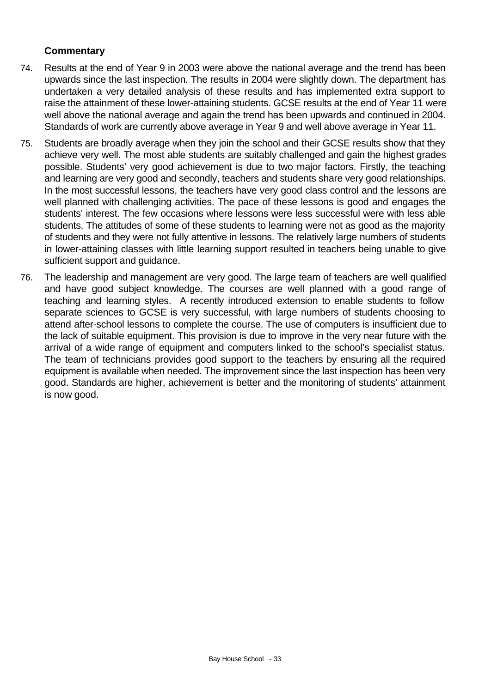- 74. Results at the end of Year 9 in 2003 were above the national average and the trend has been upwards since the last inspection. The results in 2004 were slightly down. The department has undertaken a very detailed analysis of these results and has implemented extra support to raise the attainment of these lower-attaining students. GCSE results at the end of Year 11 were well above the national average and again the trend has been upwards and continued in 2004. Standards of work are currently above average in Year 9 and well above average in Year 11.
- 75. Students are broadly average when they join the school and their GCSE results show that they achieve very well. The most able students are suitably challenged and gain the highest grades possible. Students' very good achievement is due to two major factors. Firstly, the teaching and learning are very good and secondly, teachers and students share very good relationships. In the most successful lessons, the teachers have very good class control and the lessons are well planned with challenging activities. The pace of these lessons is good and engages the students' interest. The few occasions where lessons were less successful were with less able students. The attitudes of some of these students to learning were not as good as the majority of students and they were not fully attentive in lessons. The relatively large numbers of students in lower-attaining classes with little learning support resulted in teachers being unable to give sufficient support and guidance.
- 76. The leadership and management are very good. The large team of teachers are well qualified and have good subject knowledge. The courses are well planned with a good range of teaching and learning styles. A recently introduced extension to enable students to follow separate sciences to GCSE is very successful, with large numbers of students choosing to attend after-school lessons to complete the course. The use of computers is insufficient due to the lack of suitable equipment. This provision is due to improve in the very near future with the arrival of a wide range of equipment and computers linked to the school's specialist status. The team of technicians provides good support to the teachers by ensuring all the required equipment is available when needed. The improvement since the last inspection has been very good. Standards are higher, achievement is better and the monitoring of students' attainment is now good.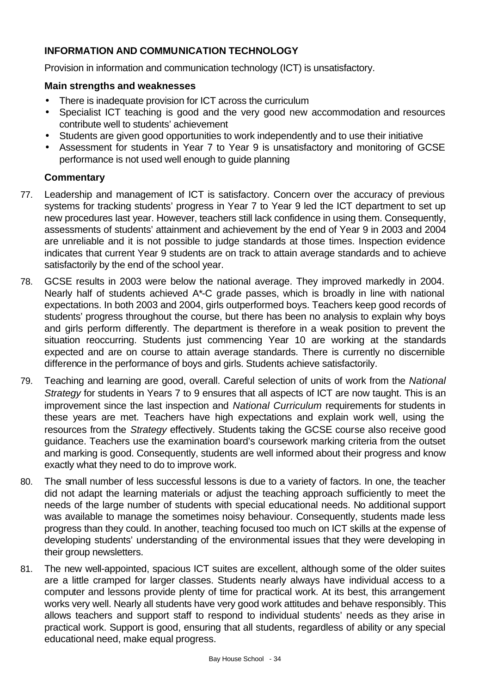## **INFORMATION AND COMMUNICATION TECHNOLOGY**

Provision in information and communication technology (ICT) is unsatisfactory.

#### **Main strengths and weaknesses**

- There is inadequate provision for ICT across the curriculum
- Specialist ICT teaching is good and the very good new accommodation and resources contribute well to students' achievement
- Students are given good opportunities to work independently and to use their initiative
- Assessment for students in Year 7 to Year 9 is unsatisfactory and monitoring of GCSE performance is not used well enough to guide planning

- 77. Leadership and management of ICT is satisfactory. Concern over the accuracy of previous systems for tracking students' progress in Year 7 to Year 9 led the ICT department to set up new procedures last year. However, teachers still lack confidence in using them. Consequently, assessments of students' attainment and achievement by the end of Year 9 in 2003 and 2004 are unreliable and it is not possible to judge standards at those times. Inspection evidence indicates that current Year 9 students are on track to attain average standards and to achieve satisfactorily by the end of the school year.
- 78. GCSE results in 2003 were below the national average. They improved markedly in 2004. Nearly half of students achieved A\*-C grade passes, which is broadly in line with national expectations. In both 2003 and 2004, girls outperformed boys. Teachers keep good records of students' progress throughout the course, but there has been no analysis to explain why boys and girls perform differently. The department is therefore in a weak position to prevent the situation reoccurring. Students just commencing Year 10 are working at the standards expected and are on course to attain average standards. There is currently no discernible difference in the performance of boys and girls. Students achieve satisfactorily.
- 79. Teaching and learning are good, overall. Careful selection of units of work from the *National Strategy* for students in Years 7 to 9 ensures that all aspects of ICT are now taught. This is an improvement since the last inspection and *National Curriculum* requirements for students in these years are met. Teachers have high expectations and explain work well, using the resources from the *Strategy* effectively. Students taking the GCSE course also receive good guidance. Teachers use the examination board's coursework marking criteria from the outset and marking is good. Consequently, students are well informed about their progress and know exactly what they need to do to improve work.
- 80. The small number of less successful lessons is due to a variety of factors. In one, the teacher did not adapt the learning materials or adjust the teaching approach sufficiently to meet the needs of the large number of students with special educational needs. No additional support was available to manage the sometimes noisy behaviour. Consequently, students made less progress than they could. In another, teaching focused too much on ICT skills at the expense of developing students' understanding of the environmental issues that they were developing in their group newsletters.
- 81. The new well-appointed, spacious ICT suites are excellent, although some of the older suites are a little cramped for larger classes. Students nearly always have individual access to a computer and lessons provide plenty of time for practical work. At its best, this arrangement works very well. Nearly all students have very good work attitudes and behave responsibly. This allows teachers and support staff to respond to individual students' needs as they arise in practical work. Support is good, ensuring that all students, regardless of ability or any special educational need, make equal progress.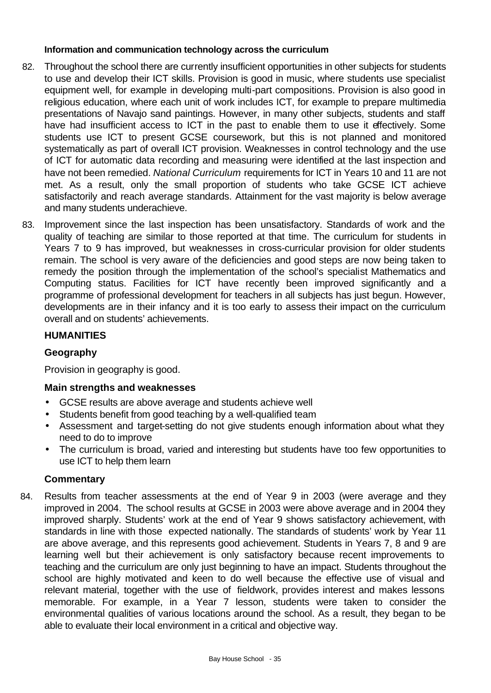## **Information and communication technology across the curriculum**

- 82. Throughout the school there are currently insufficient opportunities in other subjects for students to use and develop their ICT skills. Provision is good in music, where students use specialist equipment well, for example in developing multi-part compositions. Provision is also good in religious education, where each unit of work includes ICT, for example to prepare multimedia presentations of Navajo sand paintings. However, in many other subjects, students and staff have had insufficient access to ICT in the past to enable them to use it effectively. Some students use ICT to present GCSE coursework, but this is not planned and monitored systematically as part of overall ICT provision. Weaknesses in control technology and the use of ICT for automatic data recording and measuring were identified at the last inspection and have not been remedied. *National Curriculum* requirements for ICT in Years 10 and 11 are not met. As a result, only the small proportion of students who take GCSE ICT achieve satisfactorily and reach average standards. Attainment for the vast majority is below average and many students underachieve.
- 83. Improvement since the last inspection has been unsatisfactory. Standards of work and the quality of teaching are similar to those reported at that time. The curriculum for students in Years 7 to 9 has improved, but weaknesses in cross-curricular provision for older students remain. The school is very aware of the deficiencies and good steps are now being taken to remedy the position through the implementation of the school's specialist Mathematics and Computing status. Facilities for ICT have recently been improved significantly and a programme of professional development for teachers in all subjects has just begun. However, developments are in their infancy and it is too early to assess their impact on the curriculum overall and on students' achievements.

## **HUMANITIES**

# **Geography**

Provision in geography is good.

## **Main strengths and weaknesses**

- GCSE results are above average and students achieve well
- Students benefit from good teaching by a well-qualified team
- Assessment and target-setting do not give students enough information about what they need to do to improve
- The curriculum is broad, varied and interesting but students have too few opportunities to use ICT to help them learn

## **Commentary**

84. Results from teacher assessments at the end of Year 9 in 2003 (were average and they improved in 2004. The school results at GCSE in 2003 were above average and in 2004 they improved sharply. Students' work at the end of Year 9 shows satisfactory achievement, with standards in line with those expected nationally. The standards of students' work by Year 11 are above average, and this represents good achievement. Students in Years 7, 8 and 9 are learning well but their achievement is only satisfactory because recent improvements to teaching and the curriculum are only just beginning to have an impact. Students throughout the school are highly motivated and keen to do well because the effective use of visual and relevant material, together with the use of fieldwork, provides interest and makes lessons memorable. For example, in a Year 7 lesson, students were taken to consider the environmental qualities of various locations around the school. As a result, they began to be able to evaluate their local environment in a critical and objective way.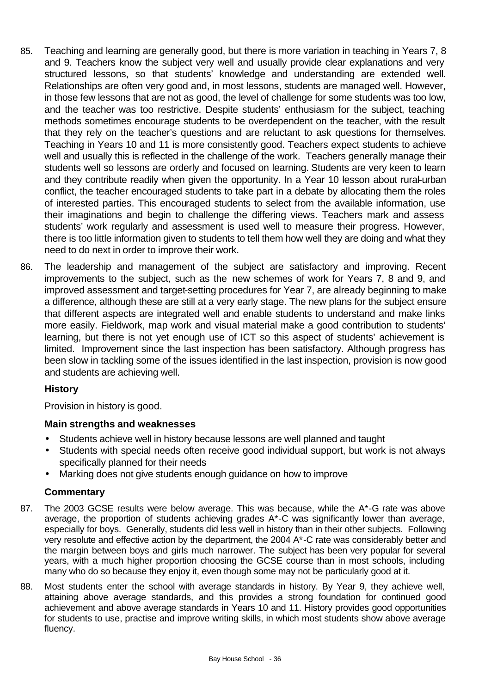- 85. Teaching and learning are generally good, but there is more variation in teaching in Years 7, 8 and 9. Teachers know the subject very well and usually provide clear explanations and very structured lessons, so that students' knowledge and understanding are extended well. Relationships are often very good and, in most lessons, students are managed well. However, in those few lessons that are not as good, the level of challenge for some students was too low, and the teacher was too restrictive. Despite students' enthusiasm for the subject, teaching methods sometimes encourage students to be overdependent on the teacher, with the result that they rely on the teacher's questions and are reluctant to ask questions for themselves. Teaching in Years 10 and 11 is more consistently good. Teachers expect students to achieve well and usually this is reflected in the challenge of the work. Teachers generally manage their students well so lessons are orderly and focused on learning. Students are very keen to learn and they contribute readily when given the opportunity. In a Year 10 lesson about rural-urban conflict, the teacher encouraged students to take part in a debate by allocating them the roles of interested parties. This encouraged students to select from the available information, use their imaginations and begin to challenge the differing views. Teachers mark and assess students' work regularly and assessment is used well to measure their progress. However, there is too little information given to students to tell them how well they are doing and what they need to do next in order to improve their work.
- 86. The leadership and management of the subject are satisfactory and improving. Recent improvements to the subject, such as the new schemes of work for Years 7, 8 and 9, and improved assessment and target-setting procedures for Year 7, are already beginning to make a difference, although these are still at a very early stage. The new plans for the subject ensure that different aspects are integrated well and enable students to understand and make links more easily. Fieldwork, map work and visual material make a good contribution to students' learning, but there is not yet enough use of ICT so this aspect of students' achievement is limited. Improvement since the last inspection has been satisfactory. Although progress has been slow in tackling some of the issues identified in the last inspection, provision is now good and students are achieving well.

# **History**

Provision in history is good.

## **Main strengths and weaknesses**

- Students achieve well in history because lessons are well planned and taught
- Students with special needs often receive good individual support, but work is not always specifically planned for their needs
- Marking does not give students enough guidance on how to improve

- 87. The 2003 GCSE results were below average. This was because, while the A\*-G rate was above average, the proportion of students achieving grades A\*-C was significantly lower than average, especially for boys. Generally, students did less well in history than in their other subjects. Following very resolute and effective action by the department, the 2004 A\*-C rate was considerably better and the margin between boys and girls much narrower. The subject has been very popular for several years, with a much higher proportion choosing the GCSE course than in most schools, including many who do so because they enjoy it, even though some may not be particularly good at it.
- 88. Most students enter the school with average standards in history. By Year 9, they achieve well, attaining above average standards, and this provides a strong foundation for continued good achievement and above average standards in Years 10 and 11. History provides good opportunities for students to use, practise and improve writing skills, in which most students show above average fluency.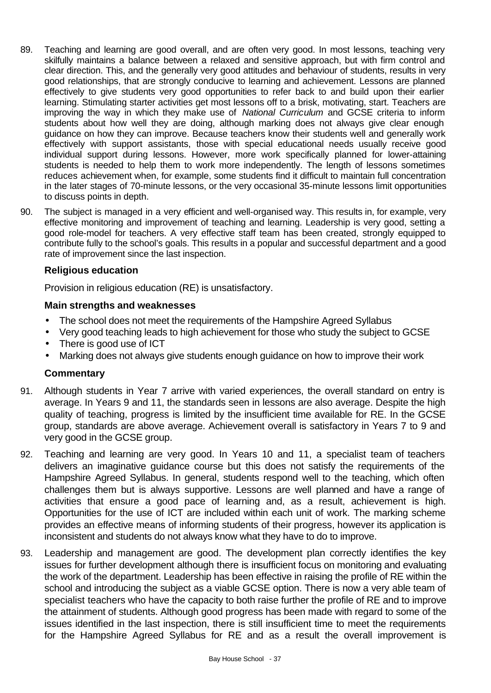- 89. Teaching and learning are good overall, and are often very good. In most lessons, teaching very skilfully maintains a balance between a relaxed and sensitive approach, but with firm control and clear direction. This, and the generally very good attitudes and behaviour of students, results in very good relationships, that are strongly conducive to learning and achievement. Lessons are planned effectively to give students very good opportunities to refer back to and build upon their earlier learning. Stimulating starter activities get most lessons off to a brisk, motivating, start. Teachers are improving the way in which they make use of *National Curriculum* and GCSE criteria to inform students about how well they are doing, although marking does not always give clear enough guidance on how they can improve. Because teachers know their students well and generally work effectively with support assistants, those with special educational needs usually receive good individual support during lessons. However, more work specifically planned for lower-attaining students is needed to help them to work more independently. The length of lessons sometimes reduces achievement when, for example, some students find it difficult to maintain full concentration in the later stages of 70-minute lessons, or the very occasional 35-minute lessons limit opportunities to discuss points in depth.
- 90. The subject is managed in a very efficient and well-organised way. This results in, for example, very effective monitoring and improvement of teaching and learning. Leadership is very good, setting a good role-model for teachers. A very effective staff team has been created, strongly equipped to contribute fully to the school's goals. This results in a popular and successful department and a good rate of improvement since the last inspection.

## **Religious education**

Provision in religious education (RE) is unsatisfactory.

#### **Main strengths and weaknesses**

- The school does not meet the requirements of the Hampshire Agreed Syllabus
- Very good teaching leads to high achievement for those who study the subject to GCSE
- There is good use of ICT
- Marking does not always give students enough guidance on how to improve their work

- 91. Although students in Year 7 arrive with varied experiences, the overall standard on entry is average. In Years 9 and 11, the standards seen in lessons are also average. Despite the high quality of teaching, progress is limited by the insufficient time available for RE. In the GCSE group, standards are above average. Achievement overall is satisfactory in Years 7 to 9 and very good in the GCSE group.
- 92. Teaching and learning are very good. In Years 10 and 11, a specialist team of teachers delivers an imaginative guidance course but this does not satisfy the requirements of the Hampshire Agreed Syllabus. In general, students respond well to the teaching, which often challenges them but is always supportive. Lessons are well planned and have a range of activities that ensure a good pace of learning and, as a result, achievement is high. Opportunities for the use of ICT are included within each unit of work. The marking scheme provides an effective means of informing students of their progress, however its application is inconsistent and students do not always know what they have to do to improve.
- 93. Leadership and management are good. The development plan correctly identifies the key issues for further development although there is insufficient focus on monitoring and evaluating the work of the department. Leadership has been effective in raising the profile of RE within the school and introducing the subject as a viable GCSE option. There is now a very able team of specialist teachers who have the capacity to both raise further the profile of RE and to improve the attainment of students. Although good progress has been made with regard to some of the issues identified in the last inspection, there is still insufficient time to meet the requirements for the Hampshire Agreed Syllabus for RE and as a result the overall improvement is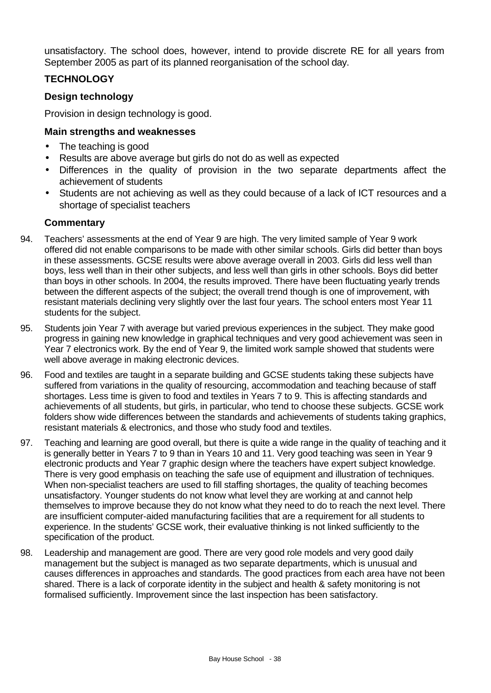unsatisfactory. The school does, however, intend to provide discrete RE for all years from September 2005 as part of its planned reorganisation of the school day.

# **TECHNOLOGY**

# **Design technology**

Provision in design technology is good.

## **Main strengths and weaknesses**

- The teaching is good
- Results are above average but girls do not do as well as expected
- Differences in the quality of provision in the two separate departments affect the achievement of students
- Students are not achieving as well as they could because of a lack of ICT resources and a shortage of specialist teachers

- 94. Teachers' assessments at the end of Year 9 are high. The very limited sample of Year 9 work offered did not enable comparisons to be made with other similar schools. Girls did better than boys in these assessments. GCSE results were above average overall in 2003. Girls did less well than boys, less well than in their other subjects, and less well than girls in other schools. Boys did better than boys in other schools. In 2004, the results improved. There have been fluctuating yearly trends between the different aspects of the subject; the overall trend though is one of improvement, with resistant materials declining very slightly over the last four years. The school enters most Year 11 students for the subject.
- 95. Students join Year 7 with average but varied previous experiences in the subject. They make good progress in gaining new knowledge in graphical techniques and very good achievement was seen in Year 7 electronics work. By the end of Year 9, the limited work sample showed that students were well above average in making electronic devices.
- 96. Food and textiles are taught in a separate building and GCSE students taking these subjects have suffered from variations in the quality of resourcing, accommodation and teaching because of staff shortages. Less time is given to food and textiles in Years 7 to 9. This is affecting standards and achievements of all students, but girls, in particular, who tend to choose these subjects. GCSE work folders show wide differences between the standards and achievements of students taking graphics, resistant materials & electronics, and those who study food and textiles.
- 97. Teaching and learning are good overall, but there is quite a wide range in the quality of teaching and it is generally better in Years 7 to 9 than in Years 10 and 11. Very good teaching was seen in Year 9 electronic products and Year 7 graphic design where the teachers have expert subject knowledge. There is very good emphasis on teaching the safe use of equipment and illustration of techniques. When non-specialist teachers are used to fill staffing shortages, the quality of teaching becomes unsatisfactory. Younger students do not know what level they are working at and cannot help themselves to improve because they do not know what they need to do to reach the next level. There are insufficient computer-aided manufacturing facilities that are a requirement for all students to experience. In the students' GCSE work, their evaluative thinking is not linked sufficiently to the specification of the product.
- 98. Leadership and management are good. There are very good role models and very good daily management but the subject is managed as two separate departments, which is unusual and causes differences in approaches and standards. The good practices from each area have not been shared. There is a lack of corporate identity in the subject and health & safety monitoring is not formalised sufficiently. Improvement since the last inspection has been satisfactory.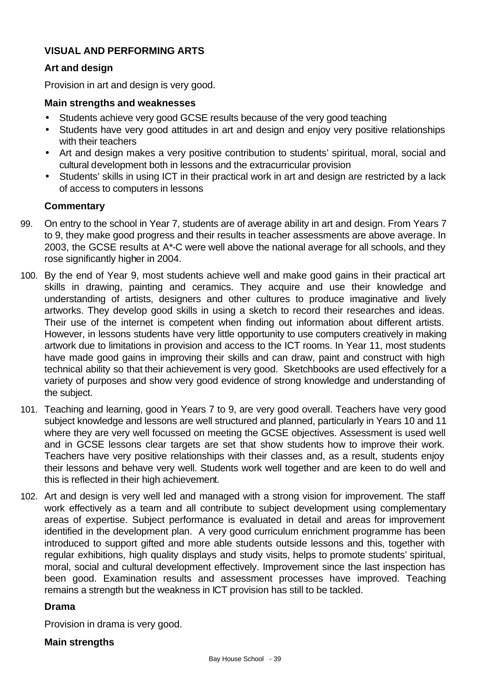## **VISUAL AND PERFORMING ARTS**

## **Art and design**

Provision in art and design is very good.

#### **Main strengths and weaknesses**

- Students achieve very good GCSE results because of the very good teaching
- Students have very good attitudes in art and design and enjoy very positive relationships with their teachers
- Art and design makes a very positive contribution to students' spiritual, moral, social and cultural development both in lessons and the extracurricular provision
- Students' skills in using ICT in their practical work in art and design are restricted by a lack of access to computers in lessons

## **Commentary**

- 99. On entry to the school in Year 7, students are of average ability in art and design. From Years 7 to 9, they make good progress and their results in teacher assessments are above average. In 2003, the GCSE results at A\*-C were well above the national average for all schools, and they rose significantly higher in 2004.
- 100. By the end of Year 9, most students achieve well and make good gains in their practical art skills in drawing, painting and ceramics. They acquire and use their knowledge and understanding of artists, designers and other cultures to produce imaginative and lively artworks. They develop good skills in using a sketch to record their researches and ideas. Their use of the internet is competent when finding out information about different artists. However, in lessons students have very little opportunity to use computers creatively in making artwork due to limitations in provision and access to the ICT rooms. In Year 11, most students have made good gains in improving their skills and can draw, paint and construct with high technical ability so that their achievement is very good. Sketchbooks are used effectively for a variety of purposes and show very good evidence of strong knowledge and understanding of the subject.
- 101. Teaching and learning, good in Years 7 to 9, are very good overall. Teachers have very good subject knowledge and lessons are well structured and planned, particularly in Years 10 and 11 where they are very well focussed on meeting the GCSE objectives. Assessment is used well and in GCSE lessons clear targets are set that show students how to improve their work. Teachers have very positive relationships with their classes and, as a result, students enjoy their lessons and behave very well. Students work well together and are keen to do well and this is reflected in their high achievement.
- 102. Art and design is very well led and managed with a strong vision for improvement. The staff work effectively as a team and all contribute to subject development using complementary areas of expertise. Subject performance is evaluated in detail and areas for improvement identified in the development plan. A very good curriculum enrichment programme has been introduced to support gifted and more able students outside lessons and this, together with regular exhibitions, high quality displays and study visits, helps to promote students' spiritual, moral, social and cultural development effectively. Improvement since the last inspection has been good. Examination results and assessment processes have improved. Teaching remains a strength but the weakness in ICT provision has still to be tackled.

## **Drama**

Provision in drama is very good.

## **Main strengths**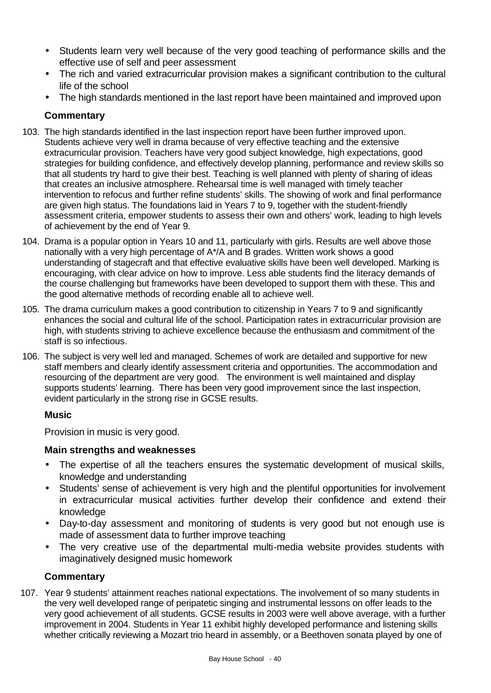- Students learn very well because of the very good teaching of performance skills and the effective use of self and peer assessment
- The rich and varied extracurricular provision makes a significant contribution to the cultural life of the school
- The high standards mentioned in the last report have been maintained and improved upon

## **Commentary**

- 103. The high standards identified in the last inspection report have been further improved upon. Students achieve very well in drama because of very effective teaching and the extensive extracurricular provision. Teachers have very good subject knowledge, high expectations, good strategies for building confidence, and effectively develop planning, performance and review skills so that all students try hard to give their best. Teaching is well planned with plenty of sharing of ideas that creates an inclusive atmosphere. Rehearsal time is well managed with timely teacher intervention to refocus and further refine students' skills. The showing of work and final performance are given high status. The foundations laid in Years 7 to 9, together with the student-friendly assessment criteria, empower students to assess their own and others' work, leading to high levels of achievement by the end of Year 9.
- 104. Drama is a popular option in Years 10 and 11, particularly with girls. Results are well above those nationally with a very high percentage of A\*/A and B grades. Written work shows a good understanding of stagecraft and that effective evaluative skills have been well developed. Marking is encouraging, with clear advice on how to improve. Less able students find the literacy demands of the course challenging but frameworks have been developed to support them with these. This and the good alternative methods of recording enable all to achieve well.
- 105. The drama curriculum makes a good contribution to citizenship in Years 7 to 9 and significantly enhances the social and cultural life of the school. Participation rates in extracurricular provision are high, with students striving to achieve excellence because the enthusiasm and commitment of the staff is so infectious.
- 106. The subject is very well led and managed. Schemes of work are detailed and supportive for new staff members and clearly identify assessment criteria and opportunities. The accommodation and resourcing of the department are very good. The environment is well maintained and display supports students' learning. There has been very good improvement since the last inspection, evident particularly in the strong rise in GCSE results.

## **Music**

Provision in music is very good.

# **Main strengths and weaknesses**

- The expertise of all the teachers ensures the systematic development of musical skills, knowledge and understanding
- Students' sense of achievement is very high and the plentiful opportunities for involvement in extracurricular musical activities further develop their confidence and extend their knowledge
- Day-to-day assessment and monitoring of students is very good but not enough use is made of assessment data to further improve teaching
- The very creative use of the departmental multi-media website provides students with imaginatively designed music homework

# **Commentary**

107. Year 9 students' attainment reaches national expectations. The involvement of so many students in the very well developed range of peripatetic singing and instrumental lessons on offer leads to the very good achievement of all students. GCSE results in 2003 were well above average, with a further improvement in 2004. Students in Year 11 exhibit highly developed performance and listening skills whether critically reviewing a Mozart trio heard in assembly, or a Beethoven sonata played by one of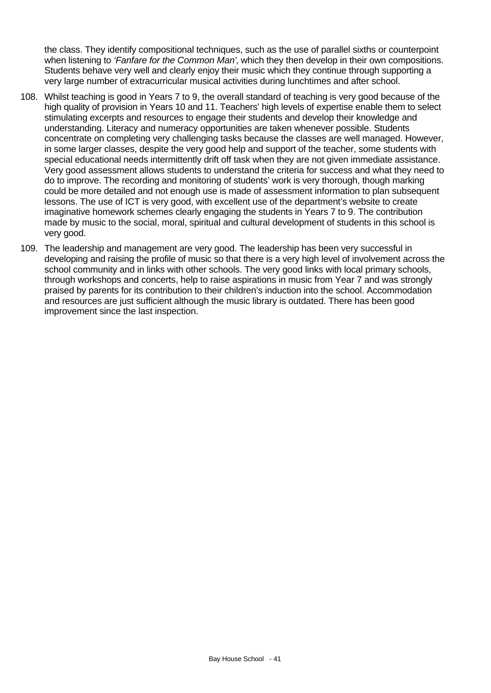the class. They identify compositional techniques, such as the use of parallel sixths or counterpoint when listening to *'Fanfare for the Common Man'*, which they then develop in their own compositions. Students behave very well and clearly enjoy their music which they continue through supporting a very large number of extracurricular musical activities during lunchtimes and after school.

- 108. Whilst teaching is good in Years 7 to 9, the overall standard of teaching is very good because of the high quality of provision in Years 10 and 11. Teachers' high levels of expertise enable them to select stimulating excerpts and resources to engage their students and develop their knowledge and understanding. Literacy and numeracy opportunities are taken whenever possible. Students concentrate on completing very challenging tasks because the classes are well managed. However, in some larger classes, despite the very good help and support of the teacher, some students with special educational needs intermittently drift off task when they are not given immediate assistance. Very good assessment allows students to understand the criteria for success and what they need to do to improve. The recording and monitoring of students' work is very thorough, though marking could be more detailed and not enough use is made of assessment information to plan subsequent lessons. The use of ICT is very good, with excellent use of the department's website to create imaginative homework schemes clearly engaging the students in Years 7 to 9. The contribution made by music to the social, moral, spiritual and cultural development of students in this school is very good.
- 109. The leadership and management are very good. The leadership has been very successful in developing and raising the profile of music so that there is a very high level of involvement across the school community and in links with other schools. The very good links with local primary schools, through workshops and concerts, help to raise aspirations in music from Year 7 and was strongly praised by parents for its contribution to their children's induction into the school. Accommodation and resources are just sufficient although the music library is outdated. There has been good improvement since the last inspection.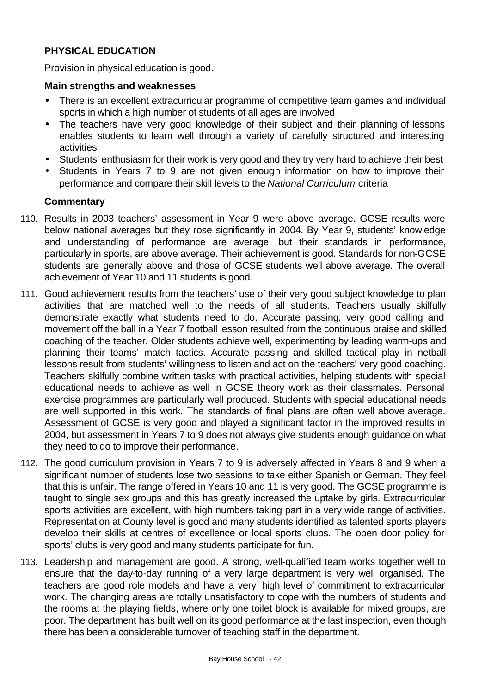## **PHYSICAL EDUCATION**

Provision in physical education is good.

#### **Main strengths and weaknesses**

- There is an excellent extracurricular programme of competitive team games and individual sports in which a high number of students of all ages are involved
- The teachers have very good knowledge of their subject and their planning of lessons enables students to learn well through a variety of carefully structured and interesting activities
- Students' enthusiasm for their work is very good and they try very hard to achieve their best
- Students in Years 7 to 9 are not given enough information on how to improve their performance and compare their skill levels to the *National Curriculum* criteria

- 110. Results in 2003 teachers' assessment in Year 9 were above average. GCSE results were below national averages but they rose significantly in 2004. By Year 9, students' knowledge and understanding of performance are average, but their standards in performance, particularly in sports, are above average. Their achievement is good. Standards for non-GCSE students are generally above and those of GCSE students well above average. The overall achievement of Year 10 and 11 students is good.
- 111. Good achievement results from the teachers' use of their very good subject knowledge to plan activities that are matched well to the needs of all students. Teachers usually skilfully demonstrate exactly what students need to do. Accurate passing, very good calling and movement off the ball in a Year 7 football lesson resulted from the continuous praise and skilled coaching of the teacher. Older students achieve well, experimenting by leading warm-ups and planning their teams' match tactics. Accurate passing and skilled tactical play in netball lessons result from students' willingness to listen and act on the teachers' very good coaching. Teachers skilfully combine written tasks with practical activities, helping students with special educational needs to achieve as well in GCSE theory work as their classmates. Personal exercise programmes are particularly well produced. Students with special educational needs are well supported in this work. The standards of final plans are often well above average. Assessment of GCSE is very good and played a significant factor in the improved results in 2004, but assessment in Years 7 to 9 does not always give students enough guidance on what they need to do to improve their performance.
- 112. The good curriculum provision in Years 7 to 9 is adversely affected in Years 8 and 9 when a significant number of students lose two sessions to take either Spanish or German. They feel that this is unfair. The range offered in Years 10 and 11 is very good. The GCSE programme is taught to single sex groups and this has greatly increased the uptake by girls. Extracurricular sports activities are excellent, with high numbers taking part in a very wide range of activities. Representation at County level is good and many students identified as talented sports players develop their skills at centres of excellence or local sports clubs. The open door policy for sports' clubs is very good and many students participate for fun.
- 113. Leadership and management are good. A strong, well-qualified team works together well to ensure that the day-to-day running of a very large department is very well organised. The teachers are good role models and have a very high level of commitment to extracurricular work. The changing areas are totally unsatisfactory to cope with the numbers of students and the rooms at the playing fields, where only one toilet block is available for mixed groups, are poor. The department has built well on its good performance at the last inspection, even though there has been a considerable turnover of teaching staff in the department.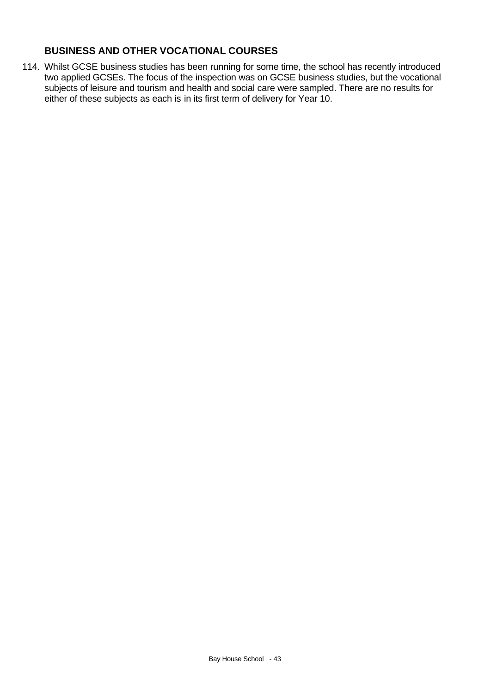# **BUSINESS AND OTHER VOCATIONAL COURSES**

114. Whilst GCSE business studies has been running for some time, the school has recently introduced two applied GCSEs. The focus of the inspection was on GCSE business studies, but the vocational subjects of leisure and tourism and health and social care were sampled. There are no results for either of these subjects as each is in its first term of delivery for Year 10.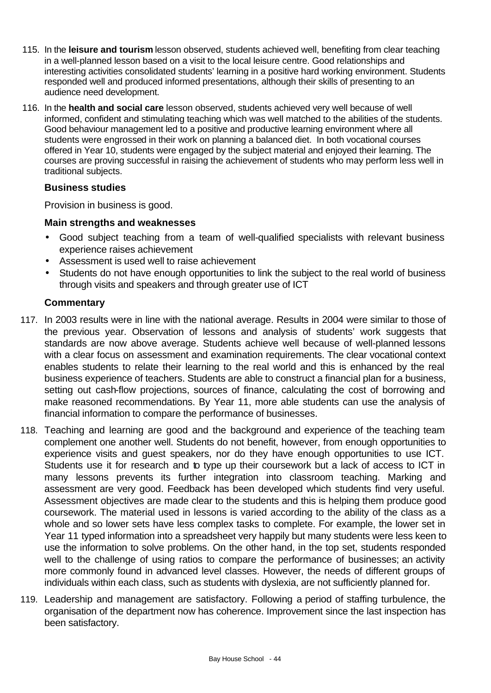- 115. In the **leisure and tourism** lesson observed, students achieved well, benefiting from clear teaching in a well-planned lesson based on a visit to the local leisure centre. Good relationships and interesting activities consolidated students' learning in a positive hard working environment. Students responded well and produced informed presentations, although their skills of presenting to an audience need development.
- 116. In the **health and social care** lesson observed, students achieved very well because of well informed, confident and stimulating teaching which was well matched to the abilities of the students. Good behaviour management led to a positive and productive learning environment where all students were engrossed in their work on planning a balanced diet. In both vocational courses offered in Year 10, students were engaged by the subject material and enjoyed their learning. The courses are proving successful in raising the achievement of students who may perform less well in traditional subjects.

#### **Business studies**

Provision in business is good.

#### **Main strengths and weaknesses**

- Good subject teaching from a team of well-qualified specialists with relevant business experience raises achievement
- Assessment is used well to raise achievement
- Students do not have enough opportunities to link the subject to the real world of business through visits and speakers and through greater use of ICT

- 117. In 2003 results were in line with the national average. Results in 2004 were similar to those of the previous year. Observation of lessons and analysis of students' work suggests that standards are now above average. Students achieve well because of well-planned lessons with a clear focus on assessment and examination requirements. The clear vocational context enables students to relate their learning to the real world and this is enhanced by the real business experience of teachers. Students are able to construct a financial plan for a business, setting out cash-flow projections, sources of finance, calculating the cost of borrowing and make reasoned recommendations. By Year 11, more able students can use the analysis of financial information to compare the performance of businesses.
- 118. Teaching and learning are good and the background and experience of the teaching team complement one another well. Students do not benefit, however, from enough opportunities to experience visits and guest speakers, nor do they have enough opportunities to use ICT. Students use it for research and to type up their coursework but a lack of access to ICT in many lessons prevents its further integration into classroom teaching. Marking and assessment are very good. Feedback has been developed which students find very useful. Assessment objectives are made clear to the students and this is helping them produce good coursework. The material used in lessons is varied according to the ability of the class as a whole and so lower sets have less complex tasks to complete. For example, the lower set in Year 11 typed information into a spreadsheet very happily but many students were less keen to use the information to solve problems. On the other hand, in the top set, students responded well to the challenge of using ratios to compare the performance of businesses; an activity more commonly found in advanced level classes. However, the needs of different groups of individuals within each class, such as students with dyslexia, are not sufficiently planned for.
- 119. Leadership and management are satisfactory. Following a period of staffing turbulence, the organisation of the department now has coherence. Improvement since the last inspection has been satisfactory.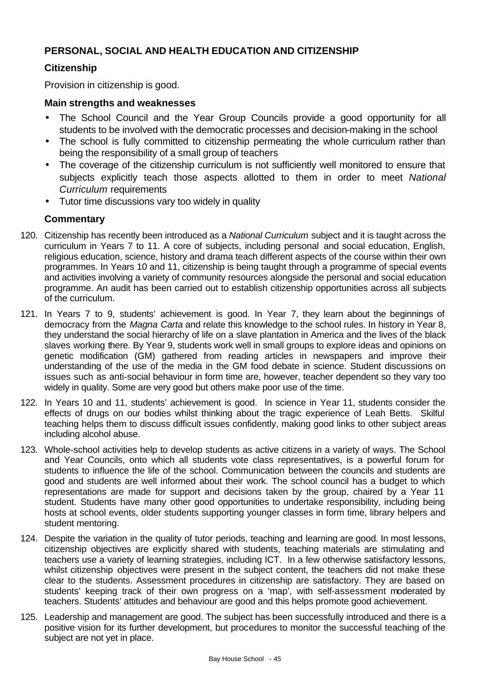## **PERSONAL, SOCIAL AND HEALTH EDUCATION AND CITIZENSHIP**

## **Citizenship**

Provision in citizenship is good.

#### **Main strengths and weaknesses**

- The School Council and the Year Group Councils provide a good opportunity for all students to be involved with the democratic processes and decision-making in the school
- The school is fully committed to citizenship permeating the whole curriculum rather than being the responsibility of a small group of teachers
- The coverage of the citizenship curriculum is not sufficiently well monitored to ensure that subjects explicitly teach those aspects allotted to them in order to meet *National Curriculum* requirements
- Tutor time discussions vary too widely in quality

- 120. Citizenship has recently been introduced as a *National Curriculum* subject and it is taught across the curriculum in Years 7 to 11. A core of subjects, including personal and social education, English, religious education, science, history and drama teach different aspects of the course within their own programmes. In Years 10 and 11, citizenship is being taught through a programme of special events and activities involving a variety of community resources alongside the personal and social education programme. An audit has been carried out to establish citizenship opportunities across all subjects of the curriculum.
- 121. In Years 7 to 9, students' achievement is good. In Year 7, they learn about the beginnings of democracy from the *Magna Carta* and relate this knowledge to the school rules. In history in Year 8, they understand the social hierarchy of life on a slave plantation in America and the lives of the black slaves working there. By Year 9, students work well in small groups to explore ideas and opinions on genetic modification (GM) gathered from reading articles in newspapers and improve their understanding of the use of the media in the GM food debate in science. Student discussions on issues such as anti-social behaviour in form time are, however, teacher dependent so they vary too widely in quality. Some are very good but others make poor use of the time.
- 122. In Years 10 and 11, students' achievement is good. In science in Year 11, students consider the effects of drugs on our bodies whilst thinking about the tragic experience of Leah Betts. Skilful teaching helps them to discuss difficult issues confidently, making good links to other subject areas including alcohol abuse.
- 123. Whole-school activities help to develop students as active citizens in a variety of ways. The School and Year Councils, onto which all students vote class representatives, is a powerful forum for students to influence the life of the school. Communication between the councils and students are good and students are well informed about their work. The school council has a budget to which representations are made for support and decisions taken by the group, chaired by a Year 11 student. Students have many other good opportunities to undertake responsibility, including being hosts at school events, older students supporting younger classes in form time, library helpers and student mentoring.
- 124. Despite the variation in the quality of tutor periods, teaching and learning are good. In most lessons, citizenship objectives are explicitly shared with students, teaching materials are stimulating and teachers use a variety of learning strategies, including ICT. In a few otherwise satisfactory lessons, whilst citizenship objectives were present in the subject content, the teachers did not make these clear to the students. Assessment procedures in citizenship are satisfactory. They are based on students' keeping track of their own progress on a 'map', with self-assessment moderated by teachers. Students' attitudes and behaviour are good and this helps promote good achievement.
- 125. Leadership and management are good. The subject has been successfully introduced and there is a positive vision for its further development, but procedures to monitor the successful teaching of the subject are not yet in place.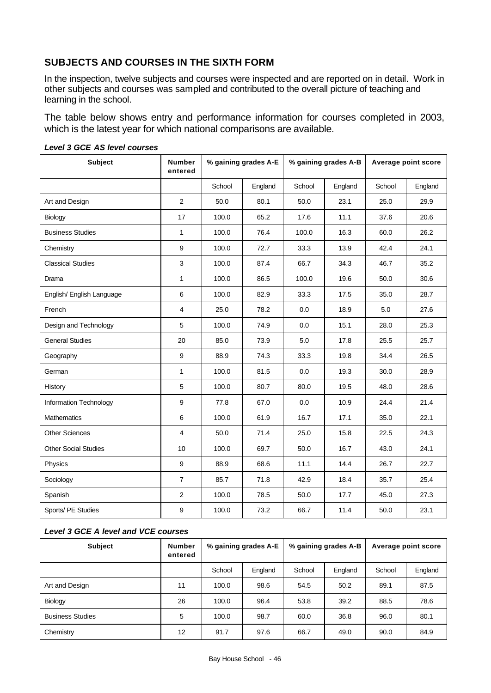# **SUBJECTS AND COURSES IN THE SIXTH FORM**

In the inspection, twelve subjects and courses were inspected and are reported on in detail. Work in other subjects and courses was sampled and contributed to the overall picture of teaching and learning in the school.

The table below shows entry and performance information for courses completed in 2003, which is the latest year for which national comparisons are available.

| <b>Subject</b>              | <b>Number</b><br>entered | % gaining grades A-E |         | % gaining grades A-B |         | Average point score |         |
|-----------------------------|--------------------------|----------------------|---------|----------------------|---------|---------------------|---------|
|                             |                          | School               | England | School               | England | School              | England |
| Art and Design              | $\overline{2}$           | 50.0                 | 80.1    | 50.0                 | 23.1    | 25.0                | 29.9    |
| Biology                     | 17                       | 100.0                | 65.2    | 17.6                 | 11.1    | 37.6                | 20.6    |
| <b>Business Studies</b>     | $\mathbf{1}$             | 100.0                | 76.4    | 100.0                | 16.3    | 60.0                | 26.2    |
| Chemistry                   | $\boldsymbol{9}$         | 100.0                | 72.7    | 33.3                 | 13.9    | 42.4                | 24.1    |
| <b>Classical Studies</b>    | 3                        | 100.0                | 87.4    | 66.7                 | 34.3    | 46.7                | 35.2    |
| Drama                       | $\mathbf{1}$             | 100.0                | 86.5    | 100.0                | 19.6    | 50.0                | 30.6    |
| English/ English Language   | 6                        | 100.0                | 82.9    | 33.3                 | 17.5    | 35.0                | 28.7    |
| French                      | 4                        | 25.0                 | 78.2    | 0.0                  | 18.9    | 5.0                 | 27.6    |
| Design and Technology       | 5                        | 100.0                | 74.9    | 0.0                  | 15.1    | 28.0                | 25.3    |
| <b>General Studies</b>      | 20                       | 85.0                 | 73.9    | 5.0                  | 17.8    | 25.5                | 25.7    |
| Geography                   | 9                        | 88.9                 | 74.3    | 33.3                 | 19.8    | 34.4                | 26.5    |
| German                      | 1                        | 100.0                | 81.5    | 0.0                  | 19.3    | 30.0                | 28.9    |
| History                     | 5                        | 100.0                | 80.7    | 80.0                 | 19.5    | 48.0                | 28.6    |
| Information Technology      | $\boldsymbol{9}$         | 77.8                 | 67.0    | 0.0                  | 10.9    | 24.4                | 21.4    |
| <b>Mathematics</b>          | 6                        | 100.0                | 61.9    | 16.7                 | 17.1    | 35.0                | 22.1    |
| <b>Other Sciences</b>       | 4                        | 50.0                 | 71.4    | 25.0                 | 15.8    | 22.5                | 24.3    |
| <b>Other Social Studies</b> | 10                       | 100.0                | 69.7    | 50.0                 | 16.7    | 43.0                | 24.1    |
| Physics                     | $\boldsymbol{9}$         | 88.9                 | 68.6    | 11.1                 | 14.4    | 26.7                | 22.7    |
| Sociology                   | $\overline{7}$           | 85.7                 | 71.8    | 42.9                 | 18.4    | 35.7                | 25.4    |
| Spanish                     | $\overline{c}$           | 100.0                | 78.5    | 50.0                 | 17.7    | 45.0                | 27.3    |
| Sports/ PE Studies          | $\boldsymbol{9}$         | 100.0                | 73.2    | 66.7                 | 11.4    | 50.0                | 23.1    |

#### *Level 3 GCE AS level courses*

#### *Level 3 GCE A level and VCE courses*

| <b>Subject</b>          | <b>Number</b><br>entered | % gaining grades A-E |         | % gaining grades A-B |         | Average point score |         |
|-------------------------|--------------------------|----------------------|---------|----------------------|---------|---------------------|---------|
|                         |                          | School               | England | School               | England | School              | England |
| Art and Design          | 11                       | 100.0                | 98.6    | 54.5                 | 50.2    | 89.1                | 87.5    |
| Biology                 | 26                       | 100.0                | 96.4    | 53.8                 | 39.2    | 88.5                | 78.6    |
| <b>Business Studies</b> | 5                        | 100.0                | 98.7    | 60.0                 | 36.8    | 96.0                | 80.1    |
| Chemistry               | $12 \overline{ }$        | 91.7                 | 97.6    | 66.7                 | 49.0    | 90.0                | 84.9    |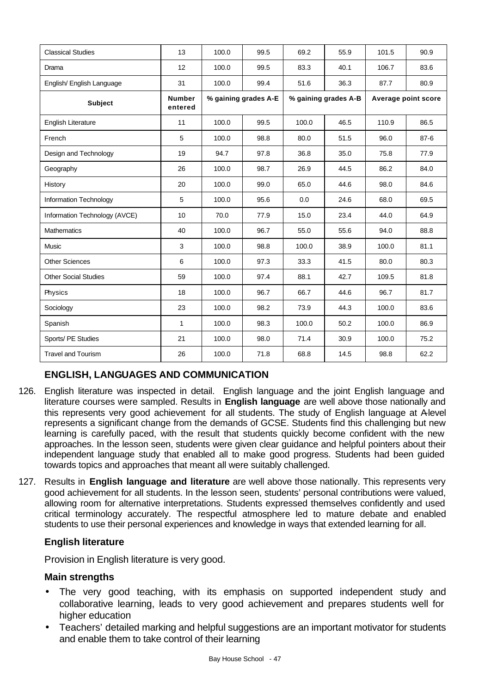| <b>Classical Studies</b>      | 13                       | 100.0                | 99.5 | 69.2                 | 55.9 | 101.5               | 90.9     |
|-------------------------------|--------------------------|----------------------|------|----------------------|------|---------------------|----------|
| Drama                         | 12                       | 100.0                | 99.5 | 83.3                 | 40.1 | 106.7               | 83.6     |
| English/ English Language     | 31                       | 100.0                | 99.4 | 51.6                 | 36.3 | 87.7                | 80.9     |
| <b>Subject</b>                | <b>Number</b><br>entered | % gaining grades A-E |      | % gaining grades A-B |      | Average point score |          |
| English Literature            | 11                       | 100.0                | 99.5 | 100.0                | 46.5 | 110.9               | 86.5     |
| French                        | 5                        | 100.0                | 98.8 | 80.0                 | 51.5 | 96.0                | $87 - 6$ |
| Design and Technology         | 19                       | 94.7                 | 97.8 | 36.8                 | 35.0 | 75.8                | 77.9     |
| Geography                     | 26                       | 100.0                | 98.7 | 26.9                 | 44.5 | 86.2                | 84.0     |
| History                       | 20                       | 100.0                | 99.0 | 65.0                 | 44.6 | 98.0                | 84.6     |
| Information Technology        | 5                        | 100.0                | 95.6 | 0.0                  | 24.6 | 68.0                | 69.5     |
| Information Technology (AVCE) | 10                       | 70.0                 | 77.9 | 15.0                 | 23.4 | 44.0                | 64.9     |
| <b>Mathematics</b>            | 40                       | 100.0                | 96.7 | 55.0                 | 55.6 | 94.0                | 88.8     |
| Music                         | 3                        | 100.0                | 98.8 | 100.0                | 38.9 | 100.0               | 81.1     |
| <b>Other Sciences</b>         | 6                        | 100.0                | 97.3 | 33.3                 | 41.5 | 80.0                | 80.3     |
| <b>Other Social Studies</b>   | 59                       | 100.0                | 97.4 | 88.1                 | 42.7 | 109.5               | 81.8     |
| Physics                       | 18                       | 100.0                | 96.7 | 66.7                 | 44.6 | 96.7                | 81.7     |
| Sociology                     | 23                       | 100.0                | 98.2 | 73.9                 | 44.3 | 100.0               | 83.6     |
| Spanish                       | $\mathbf{1}$             | 100.0                | 98.3 | 100.0                | 50.2 | 100.0               | 86.9     |
| Sports/ PE Studies            | 21                       | 100.0                | 98.0 | 71.4                 | 30.9 | 100.0               | 75.2     |
| <b>Travel and Tourism</b>     | 26                       | 100.0                | 71.8 | 68.8                 | 14.5 | 98.8                | 62.2     |

# **ENGLISH, LANGUAGES AND COMMUNICATION**

- 126. English literature was inspected in detail. English language and the joint English language and literature courses were sampled. Results in **English language** are well above those nationally and this represents very good achievement for all students. The study of English language at Alevel represents a significant change from the demands of GCSE. Students find this challenging but new learning is carefully paced, with the result that students quickly become confident with the new approaches. In the lesson seen, students were given clear guidance and helpful pointers about their independent language study that enabled all to make good progress. Students had been guided towards topics and approaches that meant all were suitably challenged.
- 127. Results in **English language and literature** are well above those nationally. This represents very good achievement for all students. In the lesson seen, students' personal contributions were valued, allowing room for alternative interpretations. Students expressed themselves confidently and used critical terminology accurately. The respectful atmosphere led to mature debate and enabled students to use their personal experiences and knowledge in ways that extended learning for all.

## **English literature**

Provision in English literature is very good.

## **Main strengths**

- The very good teaching, with its emphasis on supported independent study and collaborative learning, leads to very good achievement and prepares students well for higher education
- Teachers' detailed marking and helpful suggestions are an important motivator for students and enable them to take control of their learning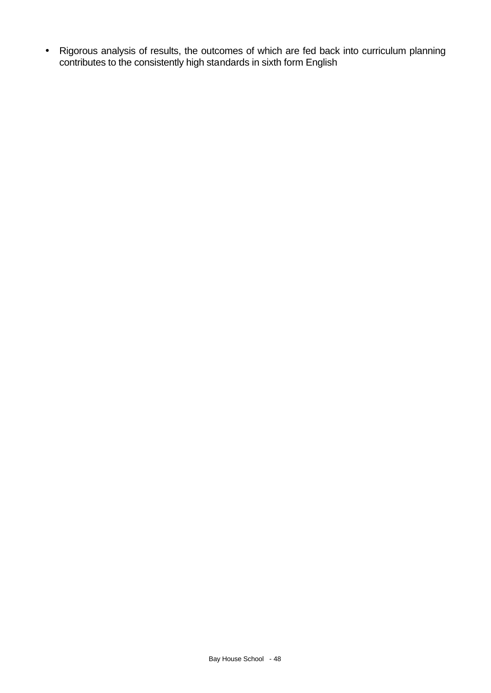• Rigorous analysis of results, the outcomes of which are fed back into curriculum planning contributes to the consistently high standards in sixth form English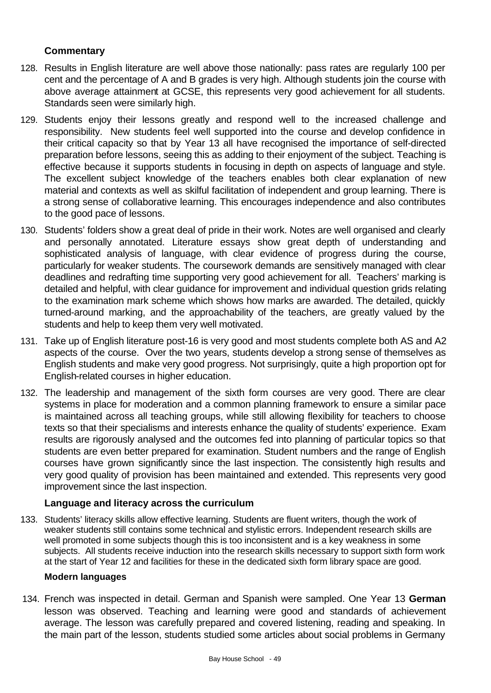## **Commentary**

- 128. Results in English literature are well above those nationally: pass rates are regularly 100 per cent and the percentage of A and B grades is very high. Although students join the course with above average attainment at GCSE, this represents very good achievement for all students. Standards seen were similarly high.
- 129. Students enjoy their lessons greatly and respond well to the increased challenge and responsibility. New students feel well supported into the course and develop confidence in their critical capacity so that by Year 13 all have recognised the importance of self-directed preparation before lessons, seeing this as adding to their enjoyment of the subject. Teaching is effective because it supports students in focusing in depth on aspects of language and style. The excellent subject knowledge of the teachers enables both clear explanation of new material and contexts as well as skilful facilitation of independent and group learning. There is a strong sense of collaborative learning. This encourages independence and also contributes to the good pace of lessons.
- 130. Students' folders show a great deal of pride in their work. Notes are well organised and clearly and personally annotated. Literature essays show great depth of understanding and sophisticated analysis of language, with clear evidence of progress during the course, particularly for weaker students. The coursework demands are sensitively managed with clear deadlines and redrafting time supporting very good achievement for all. Teachers' marking is detailed and helpful, with clear guidance for improvement and individual question grids relating to the examination mark scheme which shows how marks are awarded. The detailed, quickly turned-around marking, and the approachability of the teachers, are greatly valued by the students and help to keep them very well motivated.
- 131. Take up of English literature post-16 is very good and most students complete both AS and A2 aspects of the course. Over the two years, students develop a strong sense of themselves as English students and make very good progress. Not surprisingly, quite a high proportion opt for English-related courses in higher education.
- 132. The leadership and management of the sixth form courses are very good. There are clear systems in place for moderation and a common planning framework to ensure a similar pace is maintained across all teaching groups, while still allowing flexibility for teachers to choose texts so that their specialisms and interests enhance the quality of students' experience. Exam results are rigorously analysed and the outcomes fed into planning of particular topics so that students are even better prepared for examination. Student numbers and the range of English courses have grown significantly since the last inspection. The consistently high results and very good quality of provision has been maintained and extended. This represents very good improvement since the last inspection.

## **Language and literacy across the curriculum**

133. Students' literacy skills allow effective learning. Students are fluent writers, though the work of weaker students still contains some technical and stylistic errors. Independent research skills are well promoted in some subjects though this is too inconsistent and is a key weakness in some subjects. All students receive induction into the research skills necessary to support sixth form work at the start of Year 12 and facilities for these in the dedicated sixth form library space are good.

#### **Modern languages**

134. French was inspected in detail. German and Spanish were sampled. One Year 13 **German** lesson was observed. Teaching and learning were good and standards of achievement average. The lesson was carefully prepared and covered listening, reading and speaking. In the main part of the lesson, students studied some articles about social problems in Germany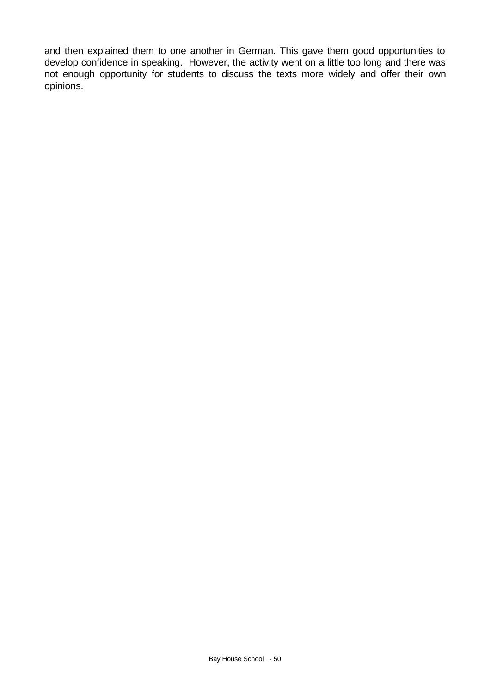and then explained them to one another in German. This gave them good opportunities to develop confidence in speaking. However, the activity went on a little too long and there was not enough opportunity for students to discuss the texts more widely and offer their own opinions.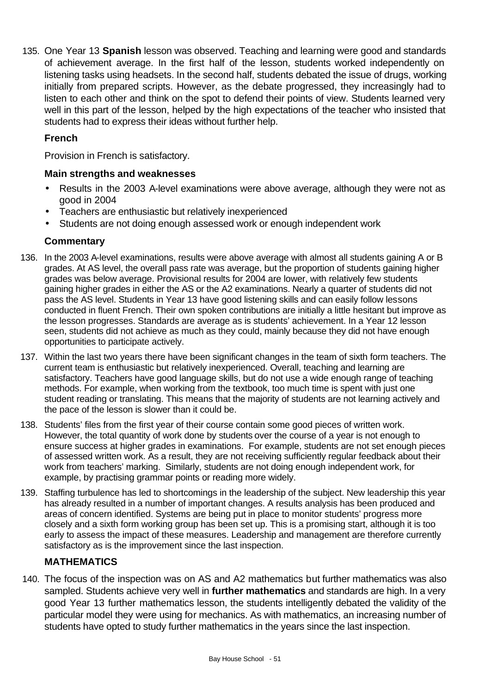135. One Year 13 **Spanish** lesson was observed. Teaching and learning were good and standards of achievement average. In the first half of the lesson, students worked independently on listening tasks using headsets. In the second half, students debated the issue of drugs, working initially from prepared scripts. However, as the debate progressed, they increasingly had to listen to each other and think on the spot to defend their points of view. Students learned very well in this part of the lesson, helped by the high expectations of the teacher who insisted that students had to express their ideas without further help.

# **French**

Provision in French is satisfactory.

## **Main strengths and weaknesses**

- Results in the 2003 A-level examinations were above average, although they were not as good in 2004
- Teachers are enthusiastic but relatively inexperienced
- Students are not doing enough assessed work or enough independent work

# **Commentary**

- 136. In the 2003 A-level examinations, results were above average with almost all students gaining A or B grades. At AS level, the overall pass rate was average, but the proportion of students gaining higher grades was below average. Provisional results for 2004 are lower, with relatively few students gaining higher grades in either the AS or the A2 examinations. Nearly a quarter of students did not pass the AS level. Students in Year 13 have good listening skills and can easily follow lessons conducted in fluent French. Their own spoken contributions are initially a little hesitant but improve as the lesson progresses. Standards are average as is students' achievement. In a Year 12 lesson seen, students did not achieve as much as they could, mainly because they did not have enough opportunities to participate actively.
- 137. Within the last two years there have been significant changes in the team of sixth form teachers. The current team is enthusiastic but relatively inexperienced. Overall, teaching and learning are satisfactory. Teachers have good language skills, but do not use a wide enough range of teaching methods. For example, when working from the textbook, too much time is spent with just one student reading or translating. This means that the majority of students are not learning actively and the pace of the lesson is slower than it could be.
- 138. Students' files from the first year of their course contain some good pieces of written work. However, the total quantity of work done by students over the course of a year is not enough to ensure success at higher grades in examinations. For example, students are not set enough pieces of assessed written work. As a result, they are not receiving sufficiently regular feedback about their work from teachers' marking. Similarly, students are not doing enough independent work, for example, by practising grammar points or reading more widely.
- 139. Staffing turbulence has led to shortcomings in the leadership of the subject. New leadership this year has already resulted in a number of important changes. A results analysis has been produced and areas of concern identified. Systems are being put in place to monitor students' progress more closely and a sixth form working group has been set up. This is a promising start, although it is too early to assess the impact of these measures. Leadership and management are therefore currently satisfactory as is the improvement since the last inspection.

# **MATHEMATICS**

140. The focus of the inspection was on AS and A2 mathematics but further mathematics was also sampled. Students achieve very well in **further mathematics** and standards are high. In a very good Year 13 further mathematics lesson, the students intelligently debated the validity of the particular model they were using for mechanics. As with mathematics, an increasing number of students have opted to study further mathematics in the years since the last inspection.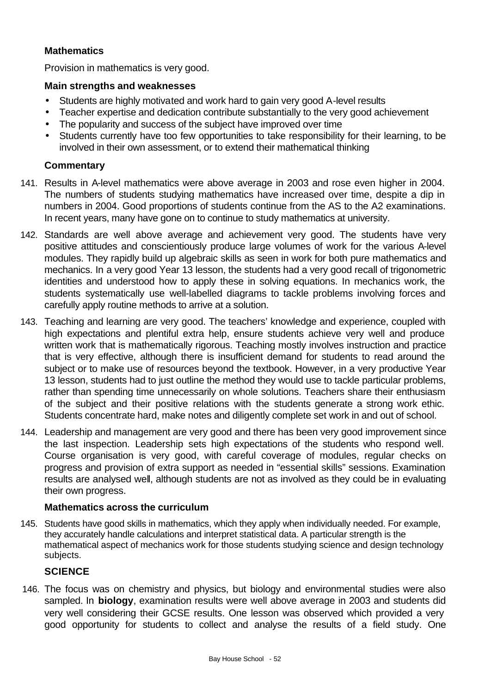## **Mathematics**

Provision in mathematics is very good.

#### **Main strengths and weaknesses**

- Students are highly motivated and work hard to gain very good A-level results
- Teacher expertise and dedication contribute substantially to the very good achievement
- The popularity and success of the subject have improved over time
- Students currently have too few opportunities to take responsibility for their learning, to be involved in their own assessment, or to extend their mathematical thinking

## **Commentary**

- 141. Results in A-level mathematics were above average in 2003 and rose even higher in 2004. The numbers of students studying mathematics have increased over time, despite a dip in numbers in 2004. Good proportions of students continue from the AS to the A2 examinations. In recent years, many have gone on to continue to study mathematics at university.
- 142. Standards are well above average and achievement very good. The students have very positive attitudes and conscientiously produce large volumes of work for the various A-level modules. They rapidly build up algebraic skills as seen in work for both pure mathematics and mechanics. In a very good Year 13 lesson, the students had a very good recall of trigonometric identities and understood how to apply these in solving equations. In mechanics work, the students systematically use well-labelled diagrams to tackle problems involving forces and carefully apply routine methods to arrive at a solution.
- 143. Teaching and learning are very good. The teachers' knowledge and experience, coupled with high expectations and plentiful extra help, ensure students achieve very well and produce written work that is mathematically rigorous. Teaching mostly involves instruction and practice that is very effective, although there is insufficient demand for students to read around the subject or to make use of resources beyond the textbook. However, in a very productive Year 13 lesson, students had to just outline the method they would use to tackle particular problems, rather than spending time unnecessarily on whole solutions. Teachers share their enthusiasm of the subject and their positive relations with the students generate a strong work ethic. Students concentrate hard, make notes and diligently complete set work in and out of school.
- 144. Leadership and management are very good and there has been very good improvement since the last inspection. Leadership sets high expectations of the students who respond well. Course organisation is very good, with careful coverage of modules, regular checks on progress and provision of extra support as needed in "essential skills" sessions. Examination results are analysed well, although students are not as involved as they could be in evaluating their own progress.

## **Mathematics across the curriculum**

145. Students have good skills in mathematics, which they apply when individually needed. For example, they accurately handle calculations and interpret statistical data. A particular strength is the mathematical aspect of mechanics work for those students studying science and design technology subjects.

## **SCIENCE**

146. The focus was on chemistry and physics, but biology and environmental studies were also sampled. In **biology**, examination results were well above average in 2003 and students did very well considering their GCSE results. One lesson was observed which provided a very good opportunity for students to collect and analyse the results of a field study. One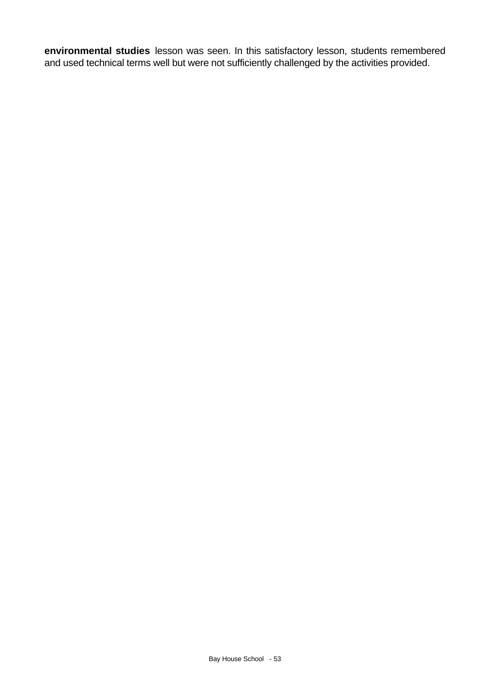**environmental studies** lesson was seen. In this satisfactory lesson, students remembered and used technical terms well but were not sufficiently challenged by the activities provided.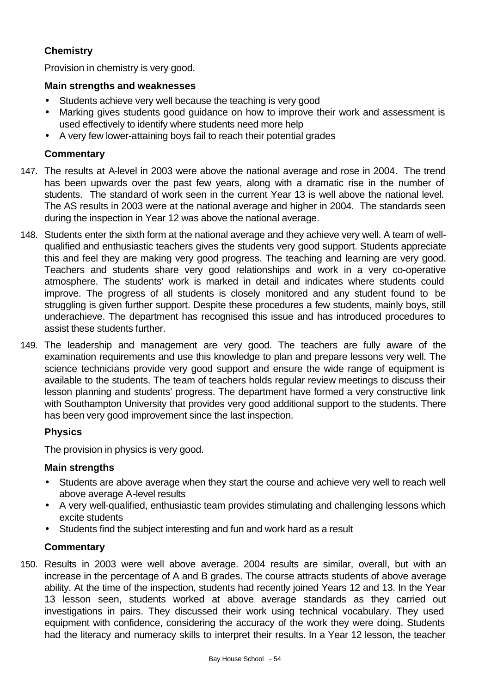# **Chemistry**

Provision in chemistry is very good.

## **Main strengths and weaknesses**

- Students achieve very well because the teaching is very good
- Marking gives students good guidance on how to improve their work and assessment is used effectively to identify where students need more help
- A very few lower-attaining boys fail to reach their potential grades

## **Commentary**

- 147. The results at A-level in 2003 were above the national average and rose in 2004. The trend has been upwards over the past few years, along with a dramatic rise in the number of students. The standard of work seen in the current Year 13 is well above the national level. The AS results in 2003 were at the national average and higher in 2004. The standards seen during the inspection in Year 12 was above the national average.
- 148. Students enter the sixth form at the national average and they achieve very well. A team of wellqualified and enthusiastic teachers gives the students very good support. Students appreciate this and feel they are making very good progress. The teaching and learning are very good. Teachers and students share very good relationships and work in a very co-operative atmosphere. The students' work is marked in detail and indicates where students could improve. The progress of all students is closely monitored and any student found to be struggling is given further support. Despite these procedures a few students, mainly boys, still underachieve. The department has recognised this issue and has introduced procedures to assist these students further.
- 149. The leadership and management are very good. The teachers are fully aware of the examination requirements and use this knowledge to plan and prepare lessons very well. The science technicians provide very good support and ensure the wide range of equipment is available to the students. The team of teachers holds regular review meetings to discuss their lesson planning and students' progress. The department have formed a very constructive link with Southampton University that provides very good additional support to the students. There has been very good improvement since the last inspection.

## **Physics**

The provision in physics is very good.

## **Main strengths**

- Students are above average when they start the course and achieve very well to reach well above average A-level results
- A very well-qualified, enthusiastic team provides stimulating and challenging lessons which excite students
- Students find the subject interesting and fun and work hard as a result

#### **Commentary**

150. Results in 2003 were well above average. 2004 results are similar, overall, but with an increase in the percentage of A and B grades. The course attracts students of above average ability. At the time of the inspection, students had recently joined Years 12 and 13. In the Year 13 lesson seen, students worked at above average standards as they carried out investigations in pairs. They discussed their work using technical vocabulary. They used equipment with confidence, considering the accuracy of the work they were doing. Students had the literacy and numeracy skills to interpret their results. In a Year 12 lesson, the teacher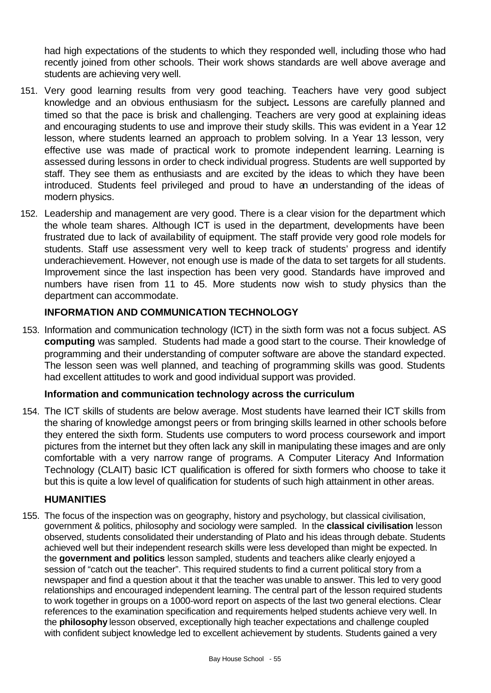had high expectations of the students to which they responded well, including those who had recently joined from other schools. Their work shows standards are well above average and students are achieving very well.

- 151. Very good learning results from very good teaching. Teachers have very good subject knowledge and an obvious enthusiasm for the subject**.** Lessons are carefully planned and timed so that the pace is brisk and challenging. Teachers are very good at explaining ideas and encouraging students to use and improve their study skills. This was evident in a Year 12 lesson, where students learned an approach to problem solving. In a Year 13 lesson, very effective use was made of practical work to promote independent learning. Learning is assessed during lessons in order to check individual progress. Students are well supported by staff. They see them as enthusiasts and are excited by the ideas to which they have been introduced. Students feel privileged and proud to have an understanding of the ideas of modern physics.
- 152. Leadership and management are very good. There is a clear vision for the department which the whole team shares. Although ICT is used in the department, developments have been frustrated due to lack of availability of equipment. The staff provide very good role models for students. Staff use assessment very well to keep track of students' progress and identify underachievement. However, not enough use is made of the data to set targets for all students. Improvement since the last inspection has been very good. Standards have improved and numbers have risen from 11 to 45. More students now wish to study physics than the department can accommodate.

## **INFORMATION AND COMMUNICATION TECHNOLOGY**

153. Information and communication technology (ICT) in the sixth form was not a focus subject. AS **computing** was sampled. Students had made a good start to the course. Their knowledge of programming and their understanding of computer software are above the standard expected. The lesson seen was well planned, and teaching of programming skills was good. Students had excellent attitudes to work and good individual support was provided.

## **Information and communication technology across the curriculum**

154. The ICT skills of students are below average. Most students have learned their ICT skills from the sharing of knowledge amongst peers or from bringing skills learned in other schools before they entered the sixth form. Students use computers to word process coursework and import pictures from the internet but they often lack any skill in manipulating these images and are only comfortable with a very narrow range of programs. A Computer Literacy And Information Technology (CLAIT) basic ICT qualification is offered for sixth formers who choose to take it but this is quite a low level of qualification for students of such high attainment in other areas.

## **HUMANITIES**

155. The focus of the inspection was on geography, history and psychology, but classical civilisation, government & politics, philosophy and sociology were sampled. In the **classical civilisation** lesson observed, students consolidated their understanding of Plato and his ideas through debate. Students achieved well but their independent research skills were less developed than might be expected. In the **government and politics** lesson sampled, students and teachers alike clearly enjoyed a session of "catch out the teacher". This required students to find a current political story from a newspaper and find a question about it that the teacher was unable to answer. This led to very good relationships and encouraged independent learning. The central part of the lesson required students to work together in groups on a 1000-word report on aspects of the last two general elections. Clear references to the examination specification and requirements helped students achieve very well. In the **philosophy** lesson observed, exceptionally high teacher expectations and challenge coupled with confident subject knowledge led to excellent achievement by students. Students gained a very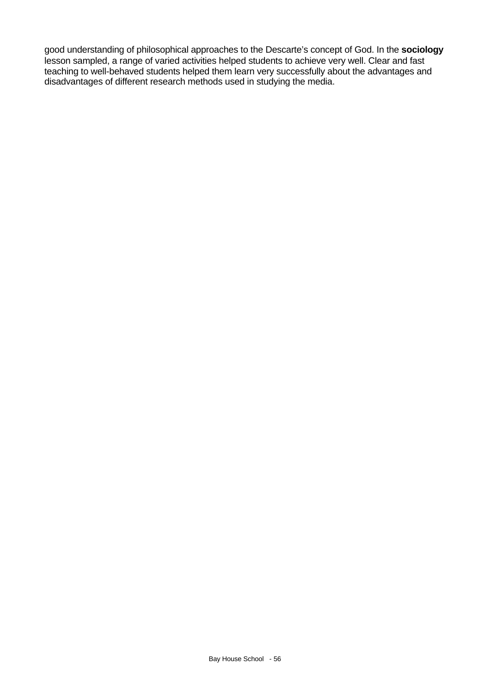good understanding of philosophical approaches to the Descarte's concept of God. In the **sociology** lesson sampled, a range of varied activities helped students to achieve very well. Clear and fast teaching to well-behaved students helped them learn very successfully about the advantages and disadvantages of different research methods used in studying the media.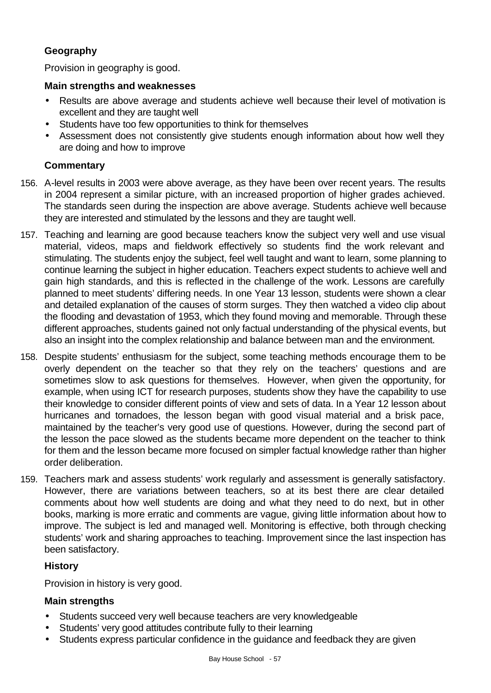# **Geography**

Provision in geography is good.

## **Main strengths and weaknesses**

- Results are above average and students achieve well because their level of motivation is excellent and they are taught well
- Students have too few opportunities to think for themselves
- Assessment does not consistently give students enough information about how well they are doing and how to improve

## **Commentary**

- 156. A-level results in 2003 were above average, as they have been over recent years. The results in 2004 represent a similar picture, with an increased proportion of higher grades achieved. The standards seen during the inspection are above average. Students achieve well because they are interested and stimulated by the lessons and they are taught well.
- 157. Teaching and learning are good because teachers know the subject very well and use visual material, videos, maps and fieldwork effectively so students find the work relevant and stimulating. The students enjoy the subject, feel well taught and want to learn, some planning to continue learning the subject in higher education. Teachers expect students to achieve well and gain high standards, and this is reflected in the challenge of the work. Lessons are carefully planned to meet students' differing needs. In one Year 13 lesson, students were shown a clear and detailed explanation of the causes of storm surges. They then watched a video clip about the flooding and devastation of 1953, which they found moving and memorable. Through these different approaches, students gained not only factual understanding of the physical events, but also an insight into the complex relationship and balance between man and the environment.
- 158. Despite students' enthusiasm for the subject, some teaching methods encourage them to be overly dependent on the teacher so that they rely on the teachers' questions and are sometimes slow to ask questions for themselves. However, when given the opportunity, for example, when using ICT for research purposes, students show they have the capability to use their knowledge to consider different points of view and sets of data. In a Year 12 lesson about hurricanes and tornadoes, the lesson began with good visual material and a brisk pace, maintained by the teacher's very good use of questions. However, during the second part of the lesson the pace slowed as the students became more dependent on the teacher to think for them and the lesson became more focused on simpler factual knowledge rather than higher order deliberation.
- 159. Teachers mark and assess students' work regularly and assessment is generally satisfactory. However, there are variations between teachers, so at its best there are clear detailed comments about how well students are doing and what they need to do next, but in other books, marking is more erratic and comments are vague, giving little information about how to improve. The subject is led and managed well. Monitoring is effective, both through checking students' work and sharing approaches to teaching. Improvement since the last inspection has been satisfactory.

## **History**

Provision in history is very good.

# **Main strengths**

- Students succeed very well because teachers are very knowledgeable
- Students' very good attitudes contribute fully to their learning
- Students express particular confidence in the guidance and feedback they are given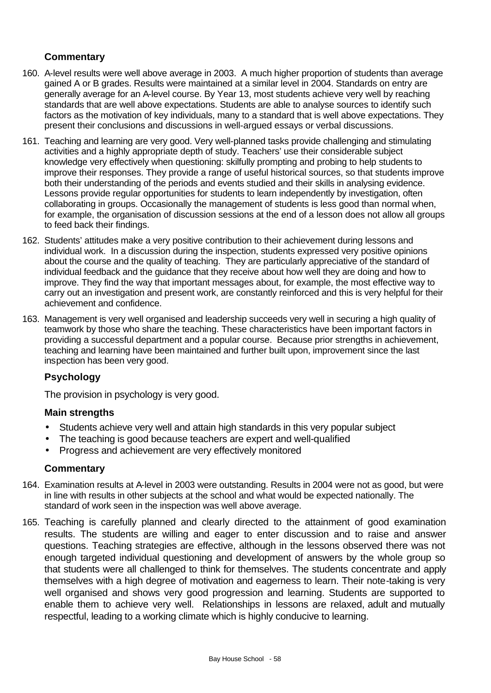## **Commentary**

- 160. A-level results were well above average in 2003. A much higher proportion of students than average gained A or B grades. Results were maintained at a similar level in 2004. Standards on entry are generally average for an A-level course. By Year 13, most students achieve very well by reaching standards that are well above expectations. Students are able to analyse sources to identify such factors as the motivation of key individuals, many to a standard that is well above expectations. They present their conclusions and discussions in well-argued essays or verbal discussions.
- 161. Teaching and learning are very good. Very well-planned tasks provide challenging and stimulating activities and a highly appropriate depth of study. Teachers' use their considerable subject knowledge very effectively when questioning: skilfully prompting and probing to help students to improve their responses. They provide a range of useful historical sources, so that students improve both their understanding of the periods and events studied and their skills in analysing evidence. Lessons provide regular opportunities for students to learn independently by investigation, often collaborating in groups. Occasionally the management of students is less good than normal when, for example, the organisation of discussion sessions at the end of a lesson does not allow all groups to feed back their findings.
- 162. Students' attitudes make a very positive contribution to their achievement during lessons and individual work. In a discussion during the inspection, students expressed very positive opinions about the course and the quality of teaching. They are particularly appreciative of the standard of individual feedback and the guidance that they receive about how well they are doing and how to improve. They find the way that important messages about, for example, the most effective way to carry out an investigation and present work, are constantly reinforced and this is very helpful for their achievement and confidence.
- 163. Management is very well organised and leadership succeeds very well in securing a high quality of teamwork by those who share the teaching. These characteristics have been important factors in providing a successful department and a popular course. Because prior strengths in achievement, teaching and learning have been maintained and further built upon, improvement since the last inspection has been very good.

## **Psychology**

The provision in psychology is very good.

## **Main strengths**

- Students achieve very well and attain high standards in this very popular subject
- The teaching is good because teachers are expert and well-qualified
- Progress and achievement are very effectively monitored

- 164. Examination results at A-level in 2003 were outstanding. Results in 2004 were not as good, but were in line with results in other subjects at the school and what would be expected nationally. The standard of work seen in the inspection was well above average.
- 165. Teaching is carefully planned and clearly directed to the attainment of good examination results. The students are willing and eager to enter discussion and to raise and answer questions. Teaching strategies are effective, although in the lessons observed there was not enough targeted individual questioning and development of answers by the whole group so that students were all challenged to think for themselves. The students concentrate and apply themselves with a high degree of motivation and eagerness to learn. Their note-taking is very well organised and shows very good progression and learning. Students are supported to enable them to achieve very well. Relationships in lessons are relaxed, adult and mutually respectful, leading to a working climate which is highly conducive to learning.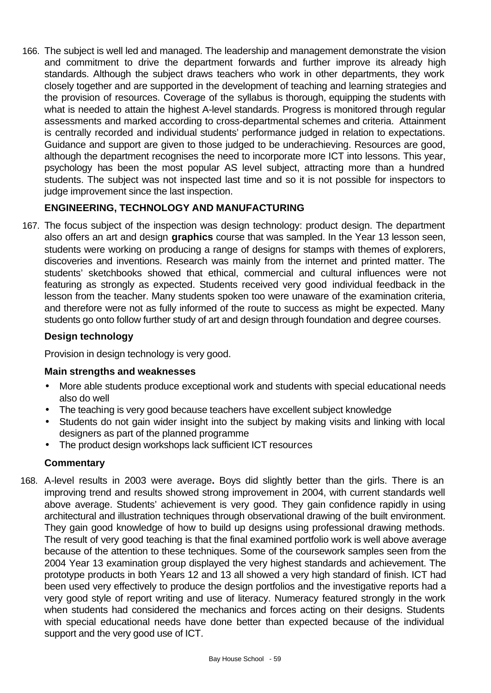166. The subject is well led and managed. The leadership and management demonstrate the vision and commitment to drive the department forwards and further improve its already high standards. Although the subject draws teachers who work in other departments, they work closely together and are supported in the development of teaching and learning strategies and the provision of resources. Coverage of the syllabus is thorough, equipping the students with what is needed to attain the highest A-level standards. Progress is monitored through regular assessments and marked according to cross-departmental schemes and criteria. Attainment is centrally recorded and individual students' performance judged in relation to expectations. Guidance and support are given to those judged to be underachieving. Resources are good, although the department recognises the need to incorporate more ICT into lessons. This year, psychology has been the most popular AS level subject, attracting more than a hundred students. The subject was not inspected last time and so it is not possible for inspectors to judge improvement since the last inspection.

# **ENGINEERING, TECHNOLOGY AND MANUFACTURING**

167. The focus subject of the inspection was design technology: product design. The department also offers an art and design **graphics** course that was sampled. In the Year 13 lesson seen, students were working on producing a range of designs for stamps with themes of explorers, discoveries and inventions. Research was mainly from the internet and printed matter. The students' sketchbooks showed that ethical, commercial and cultural influences were not featuring as strongly as expected. Students received very good individual feedback in the lesson from the teacher. Many students spoken too were unaware of the examination criteria, and therefore were not as fully informed of the route to success as might be expected. Many students go onto follow further study of art and design through foundation and degree courses.

# **Design technology**

Provision in design technology is very good.

# **Main strengths and weaknesses**

- More able students produce exceptional work and students with special educational needs also do well
- The teaching is very good because teachers have excellent subject knowledge
- Students do not gain wider insight into the subject by making visits and linking with local designers as part of the planned programme
- The product design workshops lack sufficient ICT resources

# **Commentary**

168. A-level results in 2003 were average**.** Boys did slightly better than the girls. There is an improving trend and results showed strong improvement in 2004, with current standards well above average. Students' achievement is very good. They gain confidence rapidly in using architectural and illustration techniques through observational drawing of the built environment. They gain good knowledge of how to build up designs using professional drawing methods. The result of very good teaching is that the final examined portfolio work is well above average because of the attention to these techniques. Some of the coursework samples seen from the 2004 Year 13 examination group displayed the very highest standards and achievement. The prototype products in both Years 12 and 13 all showed a very high standard of finish. ICT had been used very effectively to produce the design portfolios and the investigative reports had a very good style of report writing and use of literacy. Numeracy featured strongly in the work when students had considered the mechanics and forces acting on their designs. Students with special educational needs have done better than expected because of the individual support and the very good use of ICT.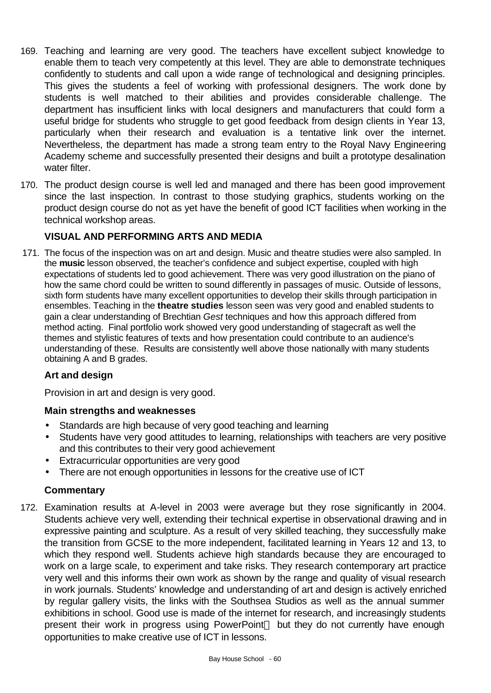- 169. Teaching and learning are very good. The teachers have excellent subject knowledge to enable them to teach very competently at this level. They are able to demonstrate techniques confidently to students and call upon a wide range of technological and designing principles. This gives the students a feel of working with professional designers. The work done by students is well matched to their abilities and provides considerable challenge. The department has insufficient links with local designers and manufacturers that could form a useful bridge for students who struggle to get good feedback from design clients in Year 13, particularly when their research and evaluation is a tentative link over the internet. Nevertheless, the department has made a strong team entry to the Royal Navy Engineering Academy scheme and successfully presented their designs and built a prototype desalination water filter.
- 170. The product design course is well led and managed and there has been good improvement since the last inspection. In contrast to those studying graphics, students working on the product design course do not as yet have the benefit of good ICT facilities when working in the technical workshop areas.

## **VISUAL AND PERFORMING ARTS AND MEDIA**

171. The focus of the inspection was on art and design. Music and theatre studies were also sampled. In the **music** lesson observed, the teacher's confidence and subject expertise, coupled with high expectations of students led to good achievement. There was very good illustration on the piano of how the same chord could be written to sound differently in passages of music. Outside of lessons, sixth form students have many excellent opportunities to develop their skills through participation in ensembles. Teaching in the **theatre studies** lesson seen was very good and enabled students to gain a clear understanding of Brechtian *Gest* techniques and how this approach differed from method acting. Final portfolio work showed very good understanding of stagecraft as well the themes and stylistic features of texts and how presentation could contribute to an audience's understanding of these. Results are consistently well above those nationally with many students obtaining A and B grades.

# **Art and design**

Provision in art and design is very good.

## **Main strengths and weaknesses**

- Standards are high because of very good teaching and learning
- Students have very good attitudes to learning, relationships with teachers are very positive and this contributes to their very good achievement
- Extracurricular opportunities are very good
- There are not enough opportunities in lessons for the creative use of ICT

## **Commentary**

172. Examination results at A-level in 2003 were average but they rose significantly in 2004. Students achieve very well, extending their technical expertise in observational drawing and in expressive painting and sculpture. As a result of very skilled teaching, they successfully make the transition from GCSE to the more independent, facilitated learning in Years 12 and 13, to which they respond well. Students achieve high standards because they are encouraged to work on a large scale, to experiment and take risks. They research contemporary art practice very well and this informs their own work as shown by the range and quality of visual research in work journals. Students' knowledge and understanding of art and design is actively enriched by regular gallery visits, the links with the Southsea Studios as well as the annual summer exhibitions in school. Good use is made of the internet for research, and increasingly students present their work in progress using PowerPoint<sup> $TM$ </sup> but they do not currently have enough opportunities to make creative use of ICT in lessons.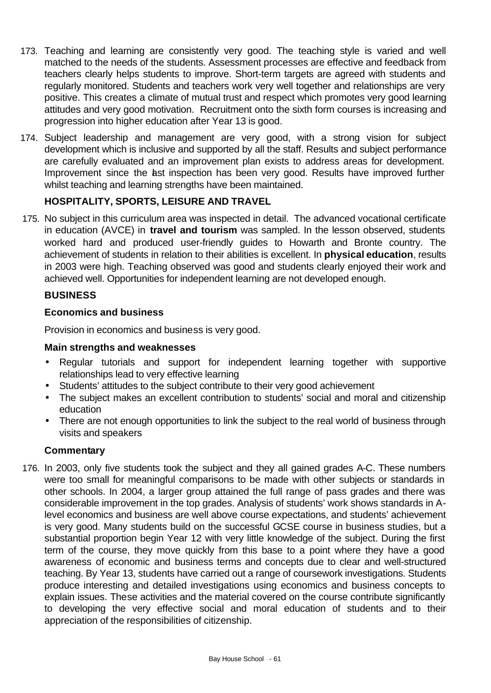- 173. Teaching and learning are consistently very good. The teaching style is varied and well matched to the needs of the students. Assessment processes are effective and feedback from teachers clearly helps students to improve. Short-term targets are agreed with students and regularly monitored. Students and teachers work very well together and relationships are very positive. This creates a climate of mutual trust and respect which promotes very good learning attitudes and very good motivation. Recruitment onto the sixth form courses is increasing and progression into higher education after Year 13 is good.
- 174. Subject leadership and management are very good, with a strong vision for subject development which is inclusive and supported by all the staff. Results and subject performance are carefully evaluated and an improvement plan exists to address areas for development. Improvement since the last inspection has been very good. Results have improved further whilst teaching and learning strengths have been maintained.

# **HOSPITALITY, SPORTS, LEISURE AND TRAVEL**

175. No subject in this curriculum area was inspected in detail. The advanced vocational certificate in education (AVCE) in **travel and tourism** was sampled. In the lesson observed, students worked hard and produced user-friendly guides to Howarth and Bronte country. The achievement of students in relation to their abilities is excellent. In **physical education**, results in 2003 were high. Teaching observed was good and students clearly enjoyed their work and achieved well. Opportunities for independent learning are not developed enough.

## **BUSINESS**

#### **Economics and business**

Provision in economics and business is very good.

#### **Main strengths and weaknesses**

- Regular tutorials and support for independent learning together with supportive relationships lead to very effective learning
- Students' attitudes to the subject contribute to their very good achievement
- The subject makes an excellent contribution to students' social and moral and citizenship education
- There are not enough opportunities to link the subject to the real world of business through visits and speakers

## **Commentary**

176. In 2003, only five students took the subject and they all gained grades A-C. These numbers were too small for meaningful comparisons to be made with other subjects or standards in other schools. In 2004, a larger group attained the full range of pass grades and there was considerable improvement in the top grades. Analysis of students' work shows standards in Alevel economics and business are well above course expectations, and students' achievement is very good. Many students build on the successful GCSE course in business studies, but a substantial proportion begin Year 12 with very little knowledge of the subject. During the first term of the course, they move quickly from this base to a point where they have a good awareness of economic and business terms and concepts due to clear and well-structured teaching. By Year 13, students have carried out a range of coursework investigations. Students produce interesting and detailed investigations using economics and business concepts to explain issues. These activities and the material covered on the course contribute significantly to developing the very effective social and moral education of students and to their appreciation of the responsibilities of citizenship.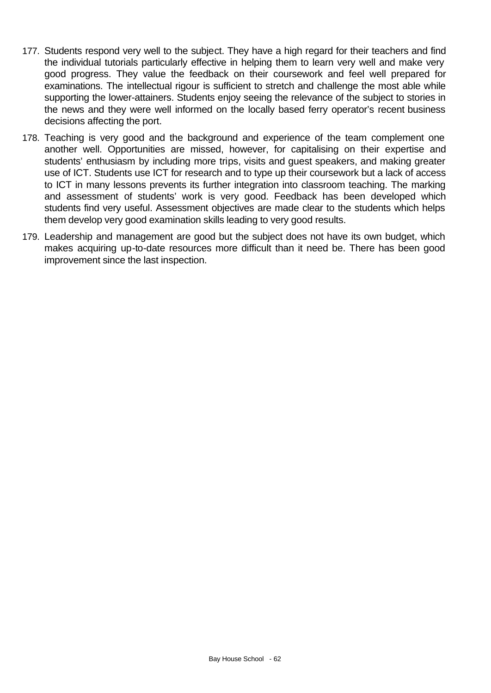- 177. Students respond very well to the subject. They have a high regard for their teachers and find the individual tutorials particularly effective in helping them to learn very well and make very good progress. They value the feedback on their coursework and feel well prepared for examinations. The intellectual rigour is sufficient to stretch and challenge the most able while supporting the lower-attainers. Students enjoy seeing the relevance of the subject to stories in the news and they were well informed on the locally based ferry operator's recent business decisions affecting the port.
- 178. Teaching is very good and the background and experience of the team complement one another well. Opportunities are missed, however, for capitalising on their expertise and students' enthusiasm by including more trips, visits and guest speakers, and making greater use of ICT. Students use ICT for research and to type up their coursework but a lack of access to ICT in many lessons prevents its further integration into classroom teaching. The marking and assessment of students' work is very good. Feedback has been developed which students find very useful. Assessment objectives are made clear to the students which helps them develop very good examination skills leading to very good results.
- 179. Leadership and management are good but the subject does not have its own budget, which makes acquiring up-to-date resources more difficult than it need be. There has been good improvement since the last inspection.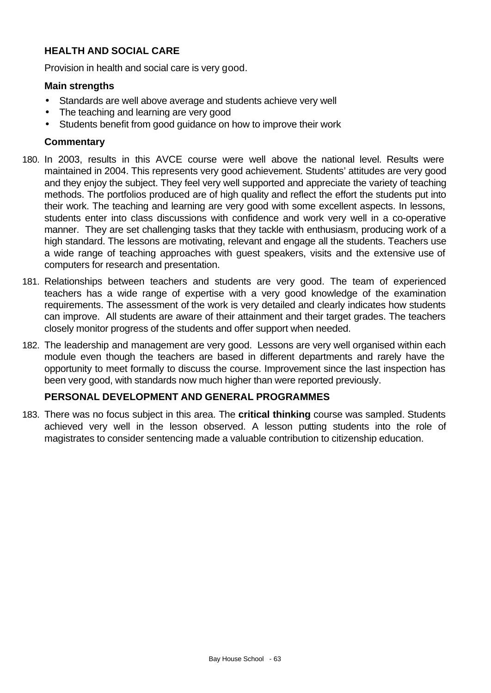# **HEALTH AND SOCIAL CARE**

Provision in health and social care is very good.

## **Main strengths**

- Standards are well above average and students achieve very well
- The teaching and learning are very good
- Students benefit from good guidance on how to improve their work

#### **Commentary**

- 180. In 2003, results in this AVCE course were well above the national level. Results were maintained in 2004. This represents very good achievement. Students' attitudes are very good and they enjoy the subject. They feel very well supported and appreciate the variety of teaching methods. The portfolios produced are of high quality and reflect the effort the students put into their work. The teaching and learning are very good with some excellent aspects. In lessons, students enter into class discussions with confidence and work very well in a co-operative manner. They are set challenging tasks that they tackle with enthusiasm, producing work of a high standard. The lessons are motivating, relevant and engage all the students. Teachers use a wide range of teaching approaches with guest speakers, visits and the extensive use of computers for research and presentation.
- 181. Relationships between teachers and students are very good. The team of experienced teachers has a wide range of expertise with a very good knowledge of the examination requirements. The assessment of the work is very detailed and clearly indicates how students can improve. All students are aware of their attainment and their target grades. The teachers closely monitor progress of the students and offer support when needed.
- 182. The leadership and management are very good. Lessons are very well organised within each module even though the teachers are based in different departments and rarely have the opportunity to meet formally to discuss the course. Improvement since the last inspection has been very good, with standards now much higher than were reported previously.

## **PERSONAL DEVELOPMENT AND GENERAL PROGRAMMES**

183. There was no focus subject in this area. The **critical thinking** course was sampled. Students achieved very well in the lesson observed. A lesson putting students into the role of magistrates to consider sentencing made a valuable contribution to citizenship education.